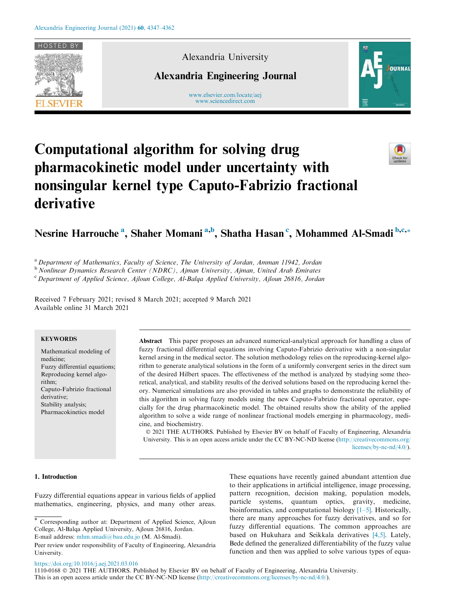

Alexandria University

Alexandria Engineering Journal

www.elsevier.com/locate/aej www.sciencedirect.com



# Computational algorithm for solving drug pharmacokinetic model under uncertainty with nonsingular kernel type Caputo-Fabrizio fractional derivative



Nesrine Harrouche<sup>a</sup>, Shaher Momani<sup>a,b</sup>, Shatha Hasan<sup>c</sup>, Mohammed Al-Smadi<sup>b,c,</sup>\*

<sup>a</sup>*Department of Mathematics, Faculty of Science, The University of Jordan, Amman 11942, Jordan*

<sup>b</sup> *Nonlinear Dynamics Research Center (NDRC), Ajman University, Ajman, United Arab Emirates*

<sup>c</sup> *Department of Applied Science, Ajloun College, Al-Balqa Applied University, Ajloun 26816, Jordan*

Received 7 February 2021; revised 8 March 2021; accepted 9 March 2021 Available online 31 March 2021

# **KEYWORDS**

Mathematical modeling of medicine; Fuzzy differential equations; Reproducing kernel algorithm; Caputo-Fabrizio fractional derivative; Stability analysis; Pharmacokinetics model

Abstract This paper proposes an advanced numerical-analytical approach for handling a class of fuzzy fractional differential equations involving Caputo-Fabrizio derivative with a non-singular kernel arsing in the medical sector. The solution methodology relies on the reproducing-kernel algorithm to generate analytical solutions in the form of a uniformly convergent series in the direct sum of the desired Hilbert spaces. The effectiveness of the method is analyzed by studying some theoretical, analytical, and stability results of the derived solutions based on the reproducing kernel theory. Numerical simulations are also provided in tables and graphs to demonstrate the reliability of this algorithm in solving fuzzy models using the new Caputo-Fabrizio fractional operator, especially for the drug pharmacokinetic model. The obtained results show the ability of the applied algorithm to solve a wide range of nonlinear fractional models emerging in pharmacology, medicine, and biochemistry.

 2021 THE AUTHORS. Published by Elsevier BV on behalf of Faculty of Engineering, Alexandria University. This is an open access article under the CC BY-NC-ND license (http://creativecommons.org/ licenses/by-nc-nd/4.0/).

## 1. Introduction

Fuzzy differential equations appear in various fields of applied mathematics, engineering, physics, and many other areas. These equations have recently gained abundant attention due to their applications in artificial intelligence, image processing, pattern recognition, decision making, population models, particle systems, quantum optics, gravity, medicine, bioinformatics, and computational biology  $[1-5]$ . Historically, there are many approaches for fuzzy derivatives, and so for fuzzy differential equations. The common approaches are based on Hukuhara and Seikkala derivatives [4,5]. Lately, Bede defined the generalized differentiability of the fuzzy value function and then was applied to solve various types of equa-

https://doi.org/10.1016/j.aej.2021.03.016

<sup>\*</sup> Corresponding author at: Department of Applied Science, Ajloun College, Al-Balqa Applied University, Ajloun 26816, Jordan. E-mail address: mhm.smadi@bau.edu.jo (M. Al-Smadi).

Peer review under responsibility of Faculty of Engineering, Alexandria University.

<sup>1110-0168</sup> 2021 THE AUTHORS. Published by Elsevier BV on behalf of Faculty of Engineering, Alexandria University.

This is an open access article under the CC BY-NC-ND license (http://creativecommons.org/licenses/by-nc-nd/4.0/).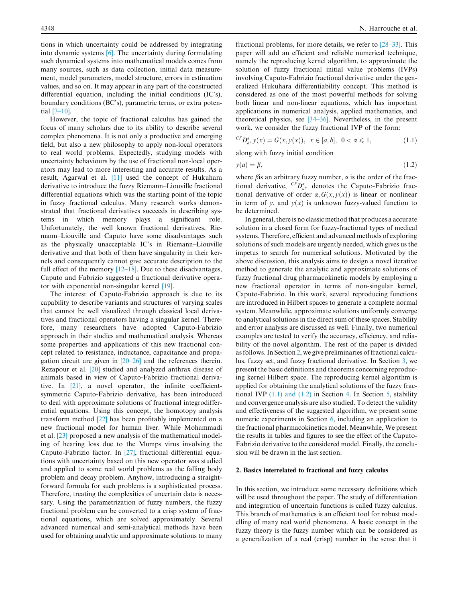tions in which uncertainty could be addressed by integrating into dynamic systems [6]. The uncertainty during formulating such dynamical systems into mathematical models comes from many sources, such as data collection, initial data measurement, model parameters, model structure, errors in estimation values, and so on. It may appear in any part of the constructed differential equation, including the initial conditions (IC's), boundary conditions (BC's), parametric terms, or extra potential [7–10].

However, the topic of fractional calculus has gained the focus of many scholars due to its ability to describe several complex phenomena. It is not only a productive and emerging field, but also a new philosophy to apply non-local operators to real world problems. Expectedly, studying models with uncertainty behaviours by the use of fractional non-local operators may lead to more interesting and accurate results. As a result, Agarwal et al. [11] used the concept of Hukuhara derivative to introduce the fuzzy Riemann–Liouville fractional differential equations which was the starting point of the topic in fuzzy fractional calculus. Many research works demonstrated that fractional derivatives succeeds in describing systems in which memory plays a significant role. Unfortunately, the well known fractional derivatives, Riemann–Liouville and Caputo have some disadvantages such as the physically unacceptable IC's in Riemann–Liouville derivative and that both of them have singularity in their kernels and consequently cannot give accurate description to the full effect of the memory  $[12-18]$ . Due to these disadvantages, Caputo and Fabrizio suggested a fractional derivative operator with exponential non-singular kernel [19].

The interest of Caputo-Fabrizio approach is due to its capability to describe variants and structures of varying scales that cannot be well visualized through classical local derivatives and fractional operators having a singular kernel. Therefore, many researchers have adopted Caputo-Fabrizio approach in their studies and mathematical analysis. Whereas some properties and applications of this new fractional concept related to resistance, inductance, capacitance and propagation circuit are given in  $[20-26]$  and the references therein. Rezapour et al. [20] studied and analyzed anthrax disease of animals based in view of Caputo-Fabrizio fractional derivative. In [21], a novel operator, the infinite coefficientsymmetric Caputo-Fabrizio derivative, has been introduced to deal with approximate solutions of fractional integrodifferential equations. Using this concept, the homotopy analysis transform method [22] has been profitably implemented on a new fractional model for human liver. While Mohammadi et al. [23] proposed a new analysis of the mathematical modeling of hearing loss due to the Mumps virus involving the Caputo-Fabrizio factor. In [27], fractional differential equations with uncertainty based on this new operator was studied and applied to some real world problems as the falling body problem and decay problem. Anyhow, introducing a straightforward formula for such problems is a sophisticated process. Therefore, treating the complexities of uncertain data is necessary. Using the parametrization of fuzzy numbers, the fuzzy fractional problem can be converted to a crisp system of fractional equations, which are solved approximately. Several advanced numerical and semi-analytical methods have been used for obtaining analytic and approximate solutions to many

fractional problems, for more details, we refer to [28–33]. This paper will add an efficient and reliable numerical technique, namely the reproducing kernel algorithm, to approximate the solution of fuzzy fractional initial value problems (IVPs) involving Caputo-Fabrizio fractional derivative under the generalized Hukuhara differentiability concept. This method is considered as one of the most powerful methods for solving both linear and non-linear equations, which has important applications in numerical analysis, applied mathematics, and theoretical physics, see [34–36]. Nevertheless, in the present work, we consider the fuzzy fractional IVP of the form:

$$
{}^{CF}D_{a^+}^{\alpha}y(x) = G(x, y(x)), \ \ x \in [a, b], \ \ 0 < \alpha \leq 1,\tag{1.1}
$$

along with fuzzy initial condition

$$
y(a) = \beta,\tag{1.2}
$$

where  $\beta$ is an arbitrary fuzzy number,  $\alpha$  is the order of the fractional derivative,  ${}^{CF}D^{\alpha}_{a^+}$  denotes the Caputo-Fabrizio fractional derivative of order  $\alpha$ ,  $G(x, y(x))$  is linear or nonlinear in term of *y*, and  $y(x)$  is unknown fuzzy-valued function to be determined.

In general, there is no classic method that produces a accurate solution in a closed form for fuzzy-fractional types of medical systems. Therefore, efficient and advanced methods of exploring solutions of such models are urgently needed, which gives us the impetus to search for numerical solutions. Motivated by the above discussion, this analysis aims to design a novel iterative method to generate the analytic and approximate solutions of fuzzy fractional drug pharmacokinetic models by employing a new fractional operator in terms of non-singular kernel, Caputo-Fabrizio. In this work, several reproducing functions are introduced in Hilbert spaces to generate a complete normal system. Meanwhile, approximate solutions uniformly converge to analytical solutions in the direct sum of these spaces. Stability and error analysis are discussed as well. Finally, two numerical examples are tested to verify the accuracy, efficiency, and reliability of the novel algorithm. The rest of the paper is divided as follows. In Section 2, we give preliminaries of fractional calculus, fuzzy set, and fuzzy fractional derivative. In Section 3, we present the basic definitions and theorems concerning reproducing kernel Hilbert space. The reproducing kernel algorithm is applied for obtaining the analytical solutions of the fuzzy fractional IVP  $(1.1)$  and  $(1.2)$  in Section 4. In Section 5, stability and convergence analysis are also studied. To detect the validity and effectiveness of the suggested algorithm, we present some numeric experiments in Section 6, including an application to the fractional pharmacokinetics model. Meanwhile, We present the results in tables and figures to see the effect of the Caputo-Fabrizio derivative to the considered model. Finally, the conclusion will be drawn in the last section.

#### 2. Basics interrelated to fractional and fuzzy calculus

In this section, we introduce some necessary definitions which will be used throughout the paper. The study of differentiation and integration of uncertain functions is called fuzzy calculus. This branch of mathematics is an efficient tool for robust modelling of many real world phenomena. A basic concept in the fuzzy theory is the fuzzy number which can be considered as a generalization of a real (crisp) number in the sense that it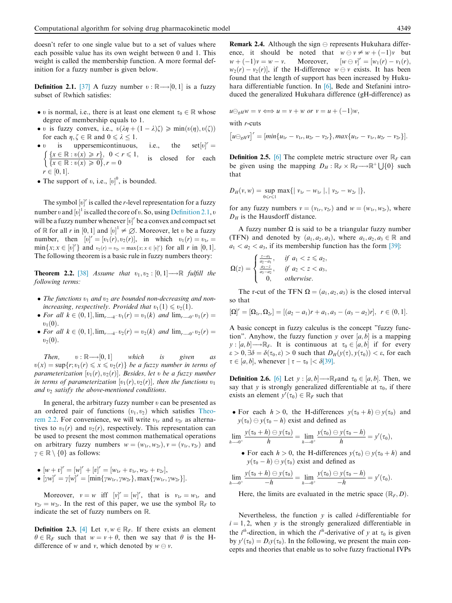doesn't refer to one single value but to a set of values where each possible value has its own weight between 0 and 1. This weight is called the membership function. A more formal definition for a fuzzy number is given below.

**Definition 2.1.** [37] A fuzzy number  $v : \mathbb{R} \longrightarrow [0, 1]$  is a fuzzy subset of Rwhich satisfies:

- v is normal, i.e., there is at least one element  $\tau_0 \in \mathbb{R}$  whose degree of membership equals to 1.
- v is fuzzy convex, i.e.,  $v(\lambda \eta + (1 \lambda)\zeta) \geq \min(v(\eta), v(\zeta))$ for each  $\eta, \zeta \in \mathbb{R}$  and  $0 \le \lambda \le 1$ .<br>
• *v* is uppersemicontinuous.
- uppersemicontinuous, i.e., the  $v$ <sup>r</sup> =  $\left\{\frac{x \in \mathbb{R} : v(x) \geq r}{r}, 0 < r \leq 1, \right.$  $\left\{\sqrt{x \in \mathbb{R} : v(x) \geqslant 0\right\}, r = 0\right\}$ is closed for each  $r \in [0, 1].$
- The support of  $v$ , i.e.,  $[v]$ <sup>0</sup>, is bounded.

The symbol  $[v]'$  is called the *r*-level representation for a fuzzy number v and  $[v]$ <sup>1</sup> is called the core of v. So, using Definition 2.1, v will be a fuzzy number whenever  $[v]'$  be a convex and compact set of R for all *r* in  $[0, 1]$  and  $[v]^1 \neq \emptyset$ . Moreover, let v be a fuzzy number, then  $[v] = [v_1(r), v_2(r)]$ , in which  $v_1(r) = v_{1r}$  $\min\{x; x \in [v]^r\}$  and  $v_2(r) = v_{2r} = \max\{x; x \in [v]^r\}$  for all *r* in [0, 1]. The following theorem is a basic rule in fuzzy numbers theory:

**Theorem 2.2.** [38] *Assume that*  $v_1, v_2 : [0, 1] \rightarrow \mathbb{R}$  *fulfill the following terms:*

- The functions  $v_1$  and  $v_2$  are bounded non-decreasing and non*increasing, respectively. Provided that*  $v_1(1) \le v_2(1)$ *.*
- For all  $k \in (0, 1]$ ,  $\lim_{r \to k^{-}} v_1(r) = v_1(k)$  and  $\lim_{r \to 0^{+}} v_1(r) =$  $v_1(0)$ .
- For all  $k \in (0, 1]$ ,  $\lim_{r \to k^{-}} v_2(r) = v_2(k)$  and  $\lim_{r \to 0^{+}} v_2(r) =$  $v_2(0)$ .

*Then,*  $v : \mathbb{R} \longrightarrow [0, 1]$ which is given as  $v(x) = \sup\{r; v_1(r) \leq x \leq v_2(r)\}\$ be a fuzzy number in terms of parameterization  $[v_1(r), v_2(r)]$ . Besides, let *v* be a fuzzy number in terms of parameterization  $[v_1(r), v_2(r)]$ , then the functions  $v_1$ *and*  $v_2$  *satisfy the above-mentioned conditions.* 

In general, the arbitrary fuzzy number  $v$  can be presented as an ordered pair of functions  $(v_1, v_2)$  which satisfies Theorem 2.2. For convenience, we will write  $v_{1r}$  and  $v_{2r}$  as alternatives to  $v_1(r)$  and  $v_2(r)$ , respectively. This representation can be used to present the most common mathematical operations on arbitrary fuzzy numbers  $w = (w_{1r}, w_{2r}), v = (v_{1r}, v_{2r})$  and  $\gamma \in \mathbb{R} \setminus \{0\}$  as follows:

- $[w + v]' = [w]' + [v]' = [w_{1r} + v_{1r}, w_{2r} + v_{2r}],$
- $[\gamma w]^{r} = \gamma[w]^{r} = [\min{\{\gamma w_{1r}, \gamma w_{2r}\}}, \max{\{\gamma w_{1r}, \gamma w_{2r}\}}].$

Moreover,  $v = w$  iff  $[v]^r = [w]^r$ , that is  $v_{1r} = w_{1r}$  and  $v_{2r} = w_{2r}$ . In the rest of this paper, we use the symbol  $\mathbb{R}_F$  to indicate the set of fuzzy numbers on R.

**Definition 2.3.** [4] Let  $v, w \in \mathbb{R}_F$ . If there exists an element  $\theta \in \mathbb{R}_F$  such that  $w = v + \theta$ , then we say that  $\theta$  is the Hdifference of *w* and *v*, which denoted by  $w \oplus v$ .

**Remark 2.4.** Although the sign  $\ominus$  represents Hukuhara difference, it should be noted that  $w \ominus v \neq w + (-1)v$  but  $w + (-1)v = w - v$ . Moreover,  $[w \ominus v]^r = [w_1(r) - v_1(r)]$  $w + (-1)v = w - v.$  $w \ominus v$ <sup>r</sup> = [ $w$ <sub>1</sub>(r) –  $v$ <sub>1</sub>(r),  $w_2(r) - v_2(r)$ , if the H-difference  $w \ominus v$  exists. It has been found that the length of support has been increased by Hukuhara differentiable function. In [6], Bede and Stefanini introduced the generalized Hukuhara difference (gH-difference) as

$$
u\ominus_{gH}w=v\Longleftrightarrow u=v+w \text{ or } v=u+(-1)w,
$$

with *r*-cuts

$$
[u\ominus_{gH}v]' = [min\{u_{1r} - v_{1r}, u_{2r} - v_{2r}\}, max\{u_{1r} - v_{1r}, u_{2r} - v_{2r}\}].
$$

**Definition 2.5.** [6] The complete metric structure over  $\mathbb{R}_F$  can be given using the mapping  $D_H : \mathbb{R}_F \times \mathbb{R}_F \longrightarrow \mathbb{R}^+ \cup \{0\}$  such that

$$
D_H(v, w) = \sup_{0 \le r \le 1} \max\{|v_{1r} - w_{1r}|\,|v_{2r} - w_{2r}|\},\
$$

for any fuzzy numbers  $v = (v_{1r}, v_{2r})$  and  $w = (w_{1r}, w_{2r})$ , where  $D_H$  is the Hausdorff distance.

A fuzzy number  $\Omega$  is said to be a triangular fuzzy number (TFN) and denoted by  $(a_1, a_2, a_3)$ , where  $a_1, a_2, a_3 \in \mathbb{R}$  and  $a_1 < a_2 < a_3$ , if its membership function has the form [39]:

$$
\Omega(z) = \begin{cases} \frac{z-a_1}{a_2-a_1}, & \text{if } a_1 < z \leq a_2, \\ \frac{a_3-z}{a_3-a_2}, & \text{if } a_2 < z < a_3, \\ 0, & \text{otherwise.} \end{cases}
$$

The r-cut of the TFN  $\Omega = (a_1, a_2, a_3)$  is the closed interval so that

$$
[\Omega]^r = [\Omega_{1r}, \Omega_{2r}] = [(a_2 - a_1)r + a_1, a_3 - (a_3 - a_2)r], \ r \in (0, 1].
$$

A basic concept in fuzzy calculus is the concept "fuzzy function". Anyhow, the fuzzy function  $y$  over  $[a, b]$  is a mapping  $y: [a, b] \longrightarrow \mathbb{R}_F$ . It is continuous at  $\tau_0 \in [a, b]$  if for every  $\epsilon > 0$ ,  $\exists \delta = \delta(\tau_0, \epsilon) > 0$  such that  $D_H(y(\tau), y(\tau_0)) < \epsilon$ , for each  $\tau \in [a, b]$ , whenever  $|\tau - \tau_0| < \delta[39]$ .

**Definition 2.6.** [6] Let  $y$  :  $[a, b] \rightarrow \mathbb{R}_F$  and  $\tau_0 \in [a, b]$ . Then, we say that *y* is strongly generalized differentiable at  $\tau_0$ , if there exists an element  $y'(\tau_0) \in \mathbb{R}_F$  such that

• For each  $h > 0$ , the H-differences  $y(\tau_0 + h) \ominus y(\tau_0)$  and  $y(\tau_0) \ominus y(\tau_0 - h)$  exist and defined as

$$
\lim_{h \to 0^+} \frac{y(\tau_0 + h) \ominus y(\tau_0)}{h} = \lim_{h \to 0^+} \frac{y(\tau_0) \ominus y(\tau_0 - h)}{h} = y'(\tau_0),
$$

• For each  $h > 0$ , the H-differences  $y(\tau_0) \ominus y(\tau_0 + h)$  and  $y(\tau_0 - h) \ominus y(\tau_0)$  exist and defined as

$$
\lim_{h \to 0^+} \frac{y(\tau_0 + h) \ominus y(\tau_0)}{-h} = \lim_{h \to 0^+} \frac{y(\tau_0) \ominus y(\tau_0 - h)}{-h} = y'(\tau_0).
$$

Here, the limits are evaluated in the metric space  $(\mathbb{R}_F, D)$ .

Nevertheless, the function *y* is called *i*-differentiable for  $i = 1, 2$ , when *y* is the strongly generalized differentiable in the *i*<sup>th</sup>-direction, in which the *i*<sup>th</sup>-derivative of *y* at  $\tau_0$  is given by  $y'(\tau_0) = D_i y(\tau_0)$ . In the following, we present the main concepts and theories that enable us to solve fuzzy fractional IVPs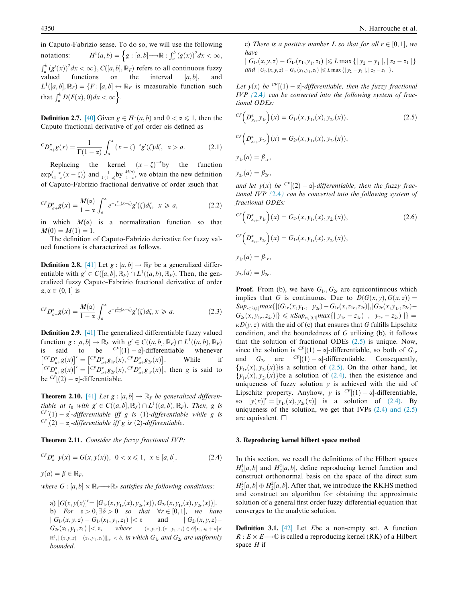in Caputo-Fabrizio sense. To do so, we will use the following notations:  $A^{1}(a,b) = \left\{ g : [a,b] \longrightarrow \mathbb{R} : \int_{a}^{b} (g(x))^{2} dx < \infty, \right\}$  $\int_a^b (g'(x))^2 dx < \infty$ ,  $C([a, b], \mathbb{R}_F)$  refers to all continuous fuzzy valued functions on the interval  $[a, b]$ , and  $L^1([a, b], \mathbb{R}_F) = \{F : [a, b] \rightarrow \mathbb{R}_F \text{ is measurable function such} \}$ that  $\int_a^b D(F(x), 0) dx < \infty$ .

**Definition 2.7.** [40] Given  $g \in H^1(a, b)$  and  $0 < \alpha \leq 1$ , then the Caputo fractional derivative of *g*of order ais defined as

$$
{}^{C}D_{a+}^{x}g(x) = \frac{1}{\Gamma(1-\alpha)} \int_{a}^{x} (x-\zeta)^{-\alpha} g'(\zeta) d\zeta, \ \ x > a. \tag{2.1}
$$

Replacing the kernel  $(x - \zeta)^{-\alpha}$  by the function  $exp\left(\frac{-\alpha}{1-\alpha}(x-\zeta)\right)$  and  $\frac{1}{\Gamma(1-\alpha)}$  by  $\frac{M(\alpha)}{1-\alpha}$ , we obtain the new definition of Caputo-Fabrizio fractional derivative of order asuch that

$$
{}^{CF}D_{a+}^{\alpha}g(x) = \frac{M(\alpha)}{1-\alpha} \int_{a}^{x} e^{-\frac{\alpha}{1-\alpha}(x-\zeta)} g'(\zeta) d\zeta, \ \ x \geqslant a,
$$
 (2.2)

in which  $M(\alpha)$  is a normalization function so that  $M(0) = M(1) = 1.$ 

The definition of Caputo-Fabrizio derivative for fuzzy valued functions is characterized as follows.

**Definition 2.8.** [41] Let  $g : [a, b] \rightarrow \mathbb{R}_F$  be a generalized differentiable with  $g' \in C([a, b], \mathbb{R}_F) \cap L^1((a, b), \mathbb{R}_F)$ . Then, the generalized fuzzy Caputo-Fabrizio fractional derivative of order  $\alpha, \alpha \in (0, 1]$  is

$$
{}^{CF}D_{a+}^{\alpha}g(x) = \frac{M(\alpha)}{1-\alpha} \int_{a}^{x} e^{-\frac{\alpha}{1-\alpha}(x-\zeta)} g'(\zeta) d\zeta, x \geq a.
$$
 (2.3)

Definition 2.9. [41] The generalized differentiable fuzzy valued function  $g: [a, b] \to \mathbb{R}_F$  with  $g' \in C((a, b], \mathbb{R}_F) \cap L^1((a, b), \mathbb{R}_F)$ is said to be  $<sup>CF</sup>[(1) - \alpha]$ -differentiable whenever</sup>  $\left[ {}^{CF}D_{a+}^{\alpha}g(x) \right]$ <sup>*r*</sup> =  $\left[ {}^{CF}D_{a+}^{\alpha}g_{1r}(x), {}^{CF}D_{a+}^{\alpha}g_{2r}(x) \right]$ . While if  $\left[ {}^{CF}D_{a+}^{\alpha}g(x) \right]$ <sup>r</sup> =  $\left[ {}^{CF}D_{a+}^{\alpha}g_{2r}(x), {}^{CF}D_{a+}^{\alpha}g_{1r}(x) \right]$ , then *g* is said to be  $\binom{CF}{2} - \alpha$ -differentiable.

**Theorem 2.10.** [41] Let  $g : [a, b] \rightarrow \mathbb{R}_F$  be generalized differen*tiable at t*<sub>0</sub> *with*  $g' \in C((a, b], \mathbb{R}_F) \cap L^1((a, b), \mathbb{R}_F)$ . Then, g is  $\frac{CF}{CF}$ [(1) –  $\alpha$ ]*-differentiable iff g is* (1)*-differentiable while g is*  ${}^{CF}[(2) - \alpha]$ -differentiable iff g is  $(2)$ -differentiable.

Theorem 2.11. *Consider the fuzzy fractional IVP:*

$$
{}^{CF}D_{a+}^{\alpha}y(x) = G(x, y(x)), \ 0 < \alpha \leq 1, \ x \in [a, b], \tag{2.4}
$$

$$
y(a) = \beta \in \mathbb{R}_F,
$$

where  $G : [a, b] \times \mathbb{R}_F \longrightarrow \mathbb{R}_F$  *satisfies the following conditions:* 

a)  $[G(x, y(x)]' = [G_{1r}(x, y_{1r}(x), y_{2r}(x)), G_{2r}(x, y_{1r}(x), y_{2r}(x))].$ b) For  $\varepsilon > 0$ ,  $\exists \delta > 0$  *so that*  $\forall r \in [0,1]$ , we have  $|G_{1r}(x, y, z) - G_{1r}(x_1, y_1, z_1)| < \varepsilon$  and  $|G_{2r}(x, y, z) G_{2r}(x_1, y_1, z_1) \leq \varepsilon$ , where  $(x, y, z), (x_1, y_1)$  $(x_1, y_1, z_1) \in G[x_0, x_0 + a] \times$  $\mathbb{R}^2$ ,  $\|(x,y,z)-(x_1,y_1,z_1)\|_{\mathbb{R}^3}<\delta$ , in which  $G_{1r}$  and  $G_{2r}$  are uniformly *bounded.*

c) *There is a positive number L so that for all*  $r \in [0,1]$ , we *have*

 $|G_{1r}(x, y, z) - G_{1r}(x_1, y_1, z_1)| \le L \max\{|y_2 - y_1|, |z_2 - z_1|\}$ *and*  $| G_{2r}(x, y, z) - G_{2r}(x_1, y_1, z_1) | \le L \max\{|y_2 - y_1|, |z_2 - z_1|\}.$ 

Let  $y(x)$  be <sup>CF</sup>[(1) –  $\alpha$ *-differentiable, then the fuzzy fractional IVP (*2.4*) can be converted into the following system of fractional ODEs:*

$$
^{CF}\left(D_{x_{a+}}^{x}y_{1r}\right)(x) = G_{1r}(x, y_{1r}(x), y_{2r}(x)),
$$
\n
$$
^{CF}\left(D_{x_{a+}}^{x}y_{2r}\right)(x) = G_{2r}(x, y_{1r}(x), y_{2r}(x)),
$$
\n
$$
y_{1r}(a) = \beta_{1r},
$$
\n
$$
y_{2r}(a) = \beta_{2r},
$$
\n(2.5)

and let  $y(x)$  be  $\frac{CF}{2}$  -  $\alpha$ *-differentiable, then the fuzzy fractional IVP (*2.4*) can be converted into the following system of fractional ODEs:*

$$
^{CF}\left(D_{x_{a+}}^{x}y_{1r}\right)(x) = G_{2r}(x, y_{1r}(x), y_{2r}(x)),
$$
\n
$$
^{CF}\left(D_{x_{a+}}^{x}y_{2r}\right)(x) = G_{1r}(x, y_{1r}(x), y_{2r}(x)),
$$
\n
$$
y_{1r}(a) = \beta_{1r},
$$
\n
$$
y_{2r}(a) = \beta_{2r}.
$$
\n(2.6)

**Proof.** From (b), we have  $G_{1r}$ ,  $G_{2r}$  are equicontinuous which implies that *G* is continuous. Due to  $D(G(x, y), G(x, z)) =$  $Sup_{r\in[0,1]}max\{|(G_{1r}(x,y_{1r}, y_{2r})-G_{1r}(x,z_{1r}, z_{2r})|,|G_{2r}(x,y_{1r}, z_{2r}) G_{2r}(x, y_{1r}, z_{2r})$ |}  $\leq \kappa Sup_{r\in[0,1]} max\{ |y_{1r} - z_{1r}) |, |y_{2r} - z_{2r}) | \}$  =  $\kappa D(y, z)$  with the aid of (c) that ensures that *G* fulfills Lipschitz condition, and the boundedness of *G* utilizing (b), it follows that the solution of fractional ODEs (2.5) is unique. Now, since the solution is  $\frac{CF}{(1)} - \alpha$ -differentiable, so both of  $G_1$ and  $G_{2r}$  are  $\frac{CF}{(1) - \alpha}$ -differentiable. Consequently,  $\{y_{1r}(x), y_{2r}(x)\}$  is a solution of (2.5). On the other hand, let  ${y_{1r}(x), y_{2r}(x)}$  be a solution of (2.4), then the existence and uniqueness of fuzzy solution  $y$  is achieved with the aid of Lipschitz property. Anyhow, *y* is  ${}^{CF}[(1) - \alpha]$ -differentiable, so  $[y(x)]^r = [y_{1r}(x), y_{2r}(x)]$  is a solution of (2.4). By uniqueness of the solution, we get that IVPs  $(2.4)$  and  $(2.5)$ are equivalent.  $\Box$ 

# 3. Reproducing kernel hilbert space method

In this section, we recall the definitions of the Hilbert spaces  $H_2^1[a, b]$  and  $H_2^2[a, b]$ , define reproducing kernel function and construct orthonormal basis on the space of the direct sum  $H_2^2[a, b] \oplus H_2^2[a, b]$ . After that, we introduce the RKHS method and construct an algorithm for obtaining the approximate solution of a general first order fuzzy differential equation that converges to the analytic solution.

Definition 3.1. [42] Let *E*be a non-empty set. A function  $R: E \times E \longrightarrow \mathbb{C}$  is called a reproducing kernel (RK) of a Hilbert space *H* if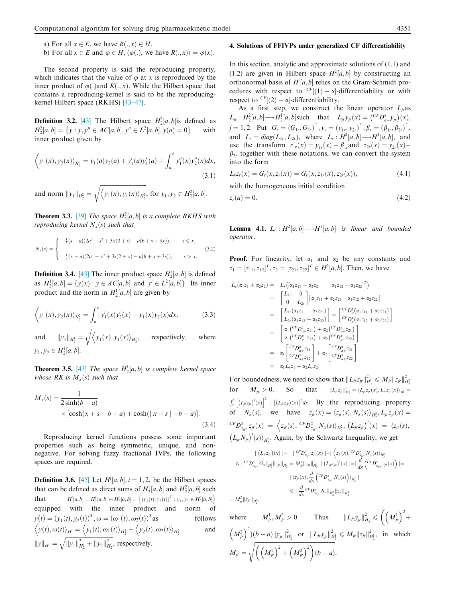- a) For all  $x \in E$ , we have  $R(x, x) \in H$ .
- b) For all  $x \in E$  and  $\varphi \in H$ ,  $\langle \varphi (.) ,$  we have  $R( . , x) \rangle = \varphi (x)$ .

The second property is said the reproducing property, which indicates that the value of  $\varphi$  at *x* is reproduced by the inner product of  $\varphi$ (.) and *K* $($ , *x*). While the Hilbert space that contains a reproducing-kernel is said to be the reproducingkernel Hilbert space (RKHS) [43–47].

**Definition 3.2.** [43] The Hilbert space  $H_2^2[a, b]$  is defined as  $H_2^2[a, b] = \{y : y, y'' \in AC[a, b], y'' \in L^2[a, b], y(a) = 0\}$ with inner product given by

$$
\left\langle y_1(x), y_2(x) \right\rangle_{H_2^2} = y_1(a) y_2(a) + y_1'(a) y_1'(a) + \int_a^b y_1''(x) y_2''(x) dx,
$$
\n(3.1)

and norm  $||y_1||_{H_2^2} =$  $\sqrt{\langle y_1(x), y_1(x) \rangle_{H_2^2}}$ , for  $y_1, y_2 \in H_2^2[a, b]$ .

**Theorem 3.3.** [39] *The space*  $H_2^2[a, b]$  *is a complete RKHS with reproducing kernel*  $N_x(s)$  *such that* 

$$
N_x(s) = \begin{cases} \frac{1}{6}(s-a)(2a^2 - s^2 + 3x(2+s) - a(6+s+3x)), & s \leq x, \\ \frac{1}{6}(x-a)(2a^2 - x^2 + 3s(2+x) - a(6+x+3s)), & s > x. \end{cases}
$$
(3.2)

**Definition 3.4.** [43] The inner product space  $H_2^1[a, b]$  is defined as  $H_2^1[a, b] = \{y(x) : y \in AC[a, b] \text{ and } y' \in L^2[a, b]\}.$  Its inner product and the norm in  $H_2^1[a, b]$  are given by

$$
\left\langle y_1(x), y_2(x) \right\rangle_{H_2^2} = \int_a^b y_1'(x) y_2'(x) + y_1(x) y_2(x) dx, \tag{3.3}
$$

and  $||y_1||_{H_2^1} =$  $\sqrt{\langle y_1(x), y_1(x) \rangle_{H_2^1}},$  respectively, where  $y_1, y_2 \in H_2^1[a, b].$ 

**Theorem 3.5.** [43] *The space*  $H_2^1[a, b]$  *is complete kernel space whose RK is*  $M_x(s)$  *such that* 

$$
M_x(s) = \frac{1}{2\sinh(b-a)}
$$
  
×  $\left[\cosh(x+s-b-a) + \cosh(\left|x-s\right| - b + a)\right].$  (3.4)

Reproducing kernel functions possess some important properties such as being symmetric, unique, and nonnegative. For solving fuzzy fractional IVPs, the following spaces are required.

**Definition 3.6.** [45] Let  $H^i[a, b]$ ,  $i = 1, 2$ , be the Hilbert spaces that can be defined as direct sums of  $H_2^1[a, b]$  and  $H_2^2[a, b]$  such that *H<sup>i</sup>*  $[a,b] = H_2^i[a,b] \oplus H_2^i[a,b] = \left\{ (y_1(t), y_2(t))^T : y_1, y_2 \in H_2^i[a,b] \right\}$ equipped with the inner product and norm of  $y(t) = (y_1(t), y_2(t))^T$ ,  $\omega = (\omega_1(t), \omega_2(t))^T$ follows  $\left\langle y(t),\omega(t)\right\rangle_{H^l}=\left\langle y_1(t),\omega_1(t)\right\rangle_{H^1_2}+\left\langle y_2(t),\omega_2(t)\right\rangle_{H^2_2}$ and  $||y||_{H^i} = \sqrt{||y_1||_{H^i_2}^2 + ||y_2||_{H^i_2}^2}$ , respectively.

#### 4. Solutions of FFIVPs under generalized CF differentiability

In this section, analytic and approximate solutions of (1.1) and  $(1.2)$  are given in Hilbert space  $H^2[a, b]$  by constructing an orthonormal basis of  $H^i[a, b]$  relies on the Gram-Schmidt procedures with respect to  $\frac{CF}{I}(1) - \alpha$ -differentiability or with respect to  $\frac{CF}{2}$  -  $\alpha$ -differentiability.

As a first step, we construct the linear operator  $L_{ir}$ as  $L_{jr}$  :  $H_2^2[a, b] \rightarrow H_2^1[a, b]$  such that  $L_{jr}y_{jr}(x) = {cF D_{a+}^x y_{jr}(x)}$ .  $j = 1, 2$ . Put  $G_r = (G_{1r}, G_{2r})^{\top}, y_r = (y_{1r}, y_{2r})^{\top}, \beta_r = (\beta_{1r}, \beta_{2r})^{\top}$ and  $L_r = diag(L_{1r}, L_{2r})$ , where  $L_r : H^2[a, b] \longrightarrow H^1[a, b]$ , and use the transform  $z_{1r}(x) = y_{1r}(x) - \beta_{1r}$  and  $z_{2r}(x) = y_{2r}(x) - \beta_{2r}(x)$  $\beta_{2r}$  together with these notations, we can convert the system into the form

$$
L_r z_r(x) = G_r(x, z_r(x)) = G_r(x, z_{1r}(x), z_{2r}(x)),
$$
\n(4.1)

with the homogeneous initial condition

$$
z_r(a) = 0.\t\t(4.2)
$$

**Lemma 4.1.**  $L_r: H^2[a, b] \longrightarrow H^1[a, b]$  is linear and bounded *operator.*

**Proof.** For linearity, let  $\alpha_1$  and  $\alpha_2$  be any constants and  $z_1 = [z_{11}, z_{12}]^T$ ,  $z_2 = [z_{21}, z_{22}]^T \in H^2[a, b]$ . Then, we have

$$
L_r(\alpha_1 z_1 + \alpha_2 z_2) = L_r([\alpha_1 z_{11} + \alpha_2 z_{21} \alpha_1 z_{12} + \alpha_2 z_{22}]^T)
$$
  
\n
$$
= \begin{bmatrix} L_{1r} & 0 \\ 0 & L_{2r} \end{bmatrix} [\alpha_1 z_{11} + \alpha_2 z_{21} \alpha_1 z_{12} + \alpha_2 z_{22}]
$$
  
\n
$$
= \begin{bmatrix} L_{1r}(\alpha_1 z_{11} + \alpha_2 z_{21}) \\ L_{2r}(\alpha_1 z_{12} + \alpha_2 z_{22}) \end{bmatrix} = \begin{bmatrix} {^C}D_a^{\alpha}(\alpha_1 z_{11} + \alpha_2 z_{21}) \\ {^C}D_a^{\alpha}(\alpha_1 z_{12} + \alpha_2 z_{22}) \end{bmatrix}
$$
  
\n
$$
= \begin{bmatrix} \alpha_1({^C}F)_{a_r}^{\alpha} z_{11}) + \alpha_2({^C}F)_{a_r}^{\alpha} z_{21} \\ \alpha_1({^C}F)_{a_r}^{\alpha} z_{12}) + \alpha_2({^C}F)_{a_r}^{\alpha} z_{22} \end{bmatrix}
$$
  
\n
$$
= \alpha_1 \begin{bmatrix} {^C}FQ_{a_r}^{\alpha} z_{11} \\ {^C}FQ_{a_r}^{\alpha} z_{12} \end{bmatrix} + \alpha_2 \begin{bmatrix} {^C}FQ_{a_r}^{\alpha} z_{21} \\ {^C}FQ_{a_r}^{\alpha} z_{22} \end{bmatrix}
$$
  
\n
$$
= \alpha_1 L_r z_1 + \alpha_2 L_r z_2.
$$

For boundedness, we need to show that  $||L_{ji}z_{ji}||_{H_2^1}^2 \le M_{ji}||z_{ji}||_{H_2^2}^2$ <br>for  $M_{ji} > 0$ . So that  $||L_{ji}z_{ji}||_{H_2^1}^2 = \langle L_{ji}z_{ji}(x), L_{ji}z_{ji}(x) \rangle_{H_2^1} =$  $\int_a^b \left[ (L_{\hat{J}'}z_{\hat{J}'})(x) \right]^2 + \left[ (L_{\hat{J}'}z_{\hat{J}'})(x) \right]^2 dx$ . By the reproducing property of  $N_x(s)$ , we have  $z_{j}(x) = \langle z_{j}(s), N_x(s) \rangle_{H_2^2}, L_{j}(x) = 0$  ${}^{CF}D^{\alpha}_{x_{0^+}}z_{jr}(x) = \Big\langle z_{jr}(s), \, {}^{CF}D^{\alpha}_{x_{0^+}}N_x(s) \rangle_{H^2_2}, \, \big(L_{jr}z_{jr}\big)'(x) = \langle z_{jr}(s), \, \rangle$  $(L_{jr}N_{jr})'(s)$ <sub>*H*2</sub></sub>. Again, by the Schwartz Inequality, we get

$$
\begin{aligned}\n& \left| \begin{array}{l} \left( L_{p}z_{j r} \right)(x) \right| = \left| \begin{array}{l} c r D_{x_{0}r} z_{j r}(x) \right| = \left| \left\langle z_{j r}(x), c^r D_{x_{0}r}^* N_{x}(s) \right\rangle_{H_2^2} \end{array} \right. \\
&\leq \left\| \begin{array}{l} c^r D_{x_{0}r}^* \ G_x \left\|_{H_2^2} \right\| z_{j r} \left\|_{H_2^2} = M_{j r}^1 \left| z_{j r} \right\|_{H_2^2}, \left| \left( L_{j r} z_{j r} \right)'(x) \right| = \right| \frac{d}{dx} \left( \begin{array}{l} c^r D_{x_{0}r}^* \ G_x \end{array} \right) \right. \\
&\left. + \left\langle z_{j r}(x), \frac{d}{dx} \left( \begin{array}{l} c^r D_{x_{0}r}^* N_{x}(s) \right) \right\rangle_{H_2^2} \right| \\
&\leq \left\| \frac{d}{dx} c^r D_{x_{0}r}^* N_x \left\|_{H_2^2} \right\| z_{j r} \left\|_{H_2^2} \end{array} \right.\n\end{aligned}
$$

2

where  $M_{jr}^1, M_{jr}^2 > 0$ . Thus  $||L_{jr}y_{jr}||_{H_2^1}^2 \leqslant \left( \left( M_{jr}^1 \right)^2 + \right)$  $\sqrt{ }$  $\left(M_{j_r}^2\right)^2$ ) $(b-a)\|y_{j_r}\|_{H_2^1}^2$  or  $\|L_{j_r}y_{j_r}\|_{H_2^1}^2 \leq M_{j_r}\|z_{j_r}\|_{H_2^1}^2$ , in which  $M_{jr} =$  $\sqrt{\left(\left(M_{jr}^1\right)^2+\left(M_{jr}^2\right)^2\right)\left(b-a\right)}$ .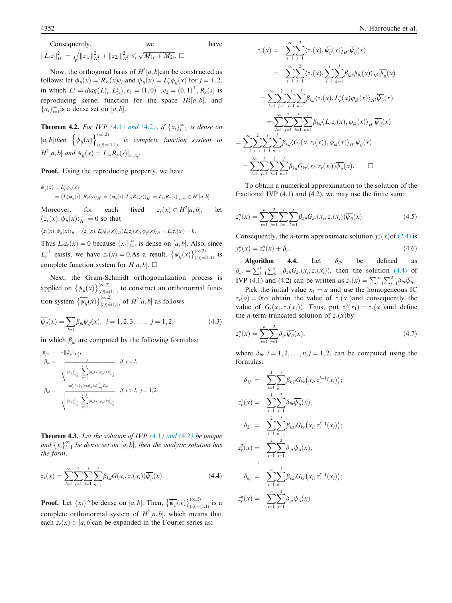Consequently, we have  
\n
$$
||L_r z||_{H^1}^2 = \sqrt{||z_{1r}||_{H^1_2}^2 + ||z_{2r}||_{H^1_2}^2} \le \sqrt{M_{1r} + M_{2r}}.\ \Box
$$

Now, the orthogonal basis of  $H^2[a, b]$  can be constructed as follows: let  $\phi_{ij}(x) = R_{x_i}(x)e_j$  and  $\psi_{ij}(x) = L_r^* \phi_{ij}(x)$  for  $j = 1, 2$ , in which  $L_r^* = diag(L_{1r}^*, L_{2r}^*), e_1 = (1, 0)^{\top}, e_2 = (0, 1)^{\top}, R_x(s)$  is reproducing kernel function for the space  $H_2^1[a, b]$ , and  ${x_i}_{i=1}^{\infty}$  is a dense set on [*a*, *b*].

**Theorem 4.2.** For IVP (4.1) and (4.2), if  $\{x_i\}_{i=1}^{\infty}$  is dense on  $[a, b]$ then  $\left\{\psi_{ij}(x)\right\}_{(i,j)=1}^{(\infty,2)}$  $(i,j)=(1,1)$  *is complete function system to*  $H^2[a, b]$  and  $\psi_{ij}(x) = L_{rs}R_x(s)|_{s=x_i}$ .

### Proof. Using the reproducing property, we have

$$
\psi_{ij}(x) = L_{\rho}^* \varphi_{ij}(x)
$$
  
=  $\langle L_{\rho}^* \varphi_{ij}(s), R_x(s) \rangle_{H^2} = \langle \varphi_{ij}(s), L_{rs} R_x(s) \rangle_{H^1} = L_{rs} R_x(s) \big|_{s=x_i} \in H^2[a, b].$ 

Moreover, for each fixed  $z_r(x) \in H^2[a, b]$ , let  $\langle z_r(x), \psi_{ij}(x) \rangle_{H^2} = 0$  so that

$$
\langle z_r(x), \psi_{ij}(x) \rangle_H = \langle z_r(x), L^* \psi_{ij}(x) \rangle_H \langle L_r z_r(x), \varphi_{ij}(x) \rangle_H = L_r z_r(x_i) = 0.
$$

Thus  $L_r z_r(x) = 0$  because  $\{x_i\}_{i=1}^{\infty}$  is dense on [*a*, *b*]. Also, since  $i=1$  $L_r^{-1}$  exists, we have  $z_r(x) = 0.As$  a result,  $\{\psi_{ij}(x)\}_{(i,j)=i}^{(\infty,2)}$  $\sum_{(i,j)=(1,1)}^{\infty,\geq)}$  is complete function system for  $H[a, b]$ .  $\square$ 

Next, the Gram-Schmidt orthogonalization process is applied on  $\{\psi_{ij}(x)\}_{(i,j)=i}^{(\infty,2)}$  $\alpha_{(i,j)=(1,1)}^{(\infty,\omega)}$  to construct an orthonormal function system  $\left\{\overline{\psi_{ij}}(x)\right\}_{(i,j)=i}^{(\infty,2)}$  $\sum_{(i,j)=(1,1)}^{(\infty,2)}$  of  $H^2[a,b]$  as follows

$$
\overline{\psi}_{ij}(x) = \sum_{l=1}^{i} \beta_{jil} \psi_{ij}(x), \ \ i = 1, 2, 3, \dots, \ j = 1, 2,
$$
\n(4.3)

in which  $\beta_{jil}$  are computed by the following formulas:

$$
\beta_{ji1} = \frac{1 \left\| \psi_{ij} \right\|_{H_2^2}}{\sqrt{\frac{\|\psi_{ij}\|_{\hat{H}_2^2} - \sum_{q=1}^{i-1} \left\langle \psi_{ij}(x), \psi_{qj}(x) \right\rangle_{H_2^2}{n^2}}}, \quad \text{if } i = l,
$$
\n
$$
\beta_{jil} = \frac{\frac{1}{\left\| \psi_{ij} \right\|_{\hat{H}_2^2}^2 - \sum_{q=1}^{i-1} \left\langle \psi_{ij}(x), \psi_{qj}(x) \right\rangle_{\hat{H}_2^2}{n^2}}}{\sqrt{\frac{\left\| \psi_{ij} \right\|_{\hat{H}_2^2}^2 - \sum_{q=1}^{i-1} \left\langle \psi_{ij}(x), \psi_{qj}(x) \right\rangle_{\hat{H}_2^2}{n^2}}}, \quad \text{if } i > l, \quad j = 1, 2.
$$

Theorem 4.3. *Let the solution of IVP (*4.1*) and (*4.2*) be unique* and  $\{x_i\}_{i=1}^{\infty}$  be dense set on  $[a, b]$ , then the analytic solution has *the form,*

$$
z_r(x) = \sum_{i=1}^{\infty} \sum_{j=1}^{2} \sum_{l=1}^{i} \sum_{k=1}^{j} \beta_{kil} G(x_l, z_r(x_l)) \overline{\psi_{ij}}(x).
$$
 (4.4)

**Proof.** Let  $\{x_i\}^{\infty}$  be dense on  $[a, b]$ . Then,  $\{\overline{\psi_{ij}}(x)\}_{(i,j)=i}^{(\infty,2)}$  $\sum_{(i,j)=(1,1)}^{\infty,\geq)}$  is a complete orthonormal system of  $H^2[a, b]$ , which means that each  $z_r(x) \in [a, b]$  can be expanded in the Fourier series as:

$$
z_r(x) = \sum_{i=1}^{\infty} \sum_{j=1}^{2} \langle z_r(x), \overline{\psi_{ij}}(x) \rangle_{H^2} \overline{\psi_{ij}}(x)
$$
  
\n
$$
= \sum_{i=1}^{\infty} \sum_{j=1}^{2} \langle z_r(x), \sum_{l=1}^{i} \sum_{k=1}^{j} \beta_{kil} \psi_{lk}(x) \rangle_{H^2} \overline{\psi_{ij}}(x)
$$
  
\n
$$
= \sum_{i=1}^{\infty} \sum_{j=1}^{2} \sum_{l=1}^{i} \sum_{k=1}^{j} \beta_{kil} \langle z_r(x), L_r^*(x) \varphi_{lk}(x) \rangle_{H^2} \overline{\psi_{ij}}(x)
$$
  
\n
$$
= \sum_{i=1}^{\infty} \sum_{j=1}^{2} \sum_{l=1}^{i} \sum_{l=1}^{j} \beta_{kil} \langle L_r z_r(x), \varphi_{lk}(x) \rangle_{H^1} \overline{\psi_{ij}}(x)
$$
  
\n
$$
= \sum_{i=1}^{\infty} \sum_{j=1}^{2} \sum_{l=1}^{i} \sum_{k=1}^{j} \beta_{kil} \langle G_r(x, z_r(x)), \varphi_{lk}(x) \rangle_{H^1} \overline{\psi_{ij}}(x)
$$
  
\n
$$
= \sum_{i=1}^{\infty} \sum_{j=1}^{2} \sum_{l=1}^{i} \sum_{k=1}^{j} \beta_{kil} G_{kr}(x_l, z_r(x_l)) \overline{\psi_{ij}}(x).
$$

 $\overline{a}$ 

To obtain a numerical approximation to the solution of the fractional IVP (4.1) and (4.2), we may use the finite sum:

$$
z_r^n(x) = \sum_{i=1}^n \sum_{j=1}^n \sum_{l=1}^i \sum_{k=1}^j \beta_{kil} G_{kr}(x_l, z_r(x_l)) \overline{\psi_{ij}}(x).
$$
 (4.5)

Consequently, the *n*-term approximate solution  $y_r^n(x)$  of (2.4) is  $y_r^n(x) = z_r^n(x) + \beta_r$  $(4.6)$ 

Algorithm 4.4. Let  $\delta_{ijr}$  be defined as  $\delta_{ijr} = \sum_{l=1}^{i} \sum_{k=1}^{j} \beta_{kil} G_{kr}(x_l, z_r(x_l))$ , then the solution (4.4) of IVP (4.1) and (4.2) can be written as  $z_r(x) = \sum_{i=1}^{\infty} \sum_{j=1}^{2} \delta_{ijr} \overline{\psi_{ij}}$ .

Pick the initial value  $x_1 = a$  and use the homogeneous IC  $z_r(a) = 0$ to obtain the value of  $z_r(x_1)$  and consequently the value of  $G_r(x_1, z_r(x_1))$ . Thus, put  $z_r^0(x_1) = z_r(x_1)$  and define the *n*-term truncated solution of  $z_r(x)$  by

$$
z_r^n(x) = \sum_{i=1}^n \sum_{j=1}^2 \delta_{ijr} \overline{\psi_{ij}}(x),
$$
\n(4.7)

where  $\delta_{ijr}$ ,  $i = 1, 2, \dots, n, j = 1, 2,$  can be computed using the formulas:

$$
\delta_{1jr} = \sum_{i=1}^{1} \sum_{k=1}^{j} \beta_{k1l} G_{kr}(x_l, z_r^{l-1}(x_l));
$$
  
\n
$$
z_r^1(x) = \sum_{i=1}^{1} \sum_{j=1}^{2} \delta_{ir} \overline{\psi_{ij}}(x),
$$
  
\n
$$
\delta_{2jr} = \sum_{i=1}^{2} \sum_{k=1}^{j} \beta_{k2l} G_{kr}(x_l, z_r^{l-1}(x_l));
$$
  
\n
$$
z_r^2(x) = \sum_{i=1}^{2} \sum_{j=1}^{2} \delta_{ir} \overline{\psi_{ij}}(x),
$$
  
\n:  
\n
$$
\delta_{njr} = \sum_{i=1}^{n} \sum_{k=1}^{j} \beta_{knl} G_{kr}(x_l, z_r^{l-1}(x_l));
$$
  
\n
$$
z_r^n(x) = \sum_{i=1}^{n} \sum_{j=1}^{2} \delta_{ir} \overline{\psi_{ij}}(x).
$$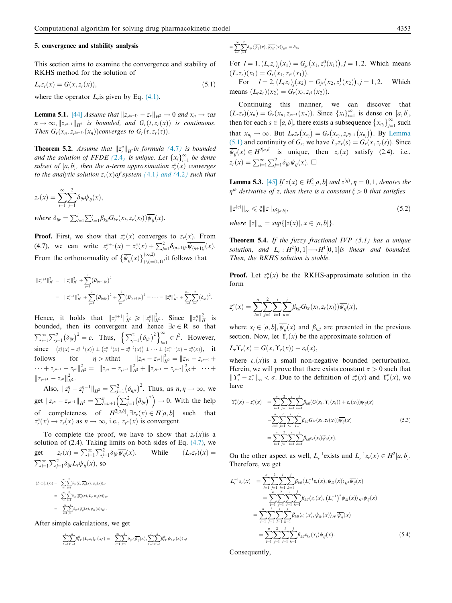# 5. convergence and stability analysis

This section aims to examine the convergence and stability of RKHS method for the solution of

$$
L_r z_r(x) = G(x, z_r(x)),
$$
\n
$$
(5.1)
$$

where the operator  $L_r$  is given by Eq.  $(4.1)$ .

**Lemma 5.1.** [44] *Assume that*  $||z_{r^{(n-1)}} - z_r||_{H^2} \to 0$  *and*  $x_n \to \tau$ *as*  $n \to \infty$ ,  $||z_{r^{n-1}}||_{H^2}$  *is bounded, and*  $G_r(t, z_r(x))$  *is continuous. Then*  $G_r(x_n, z_{r^{(n-1)}}(x_n))$  *converges to*  $G_r(\tau, z_r(\tau))$ *.* 

**Theorem 5.2.** Assume that  $||z^n||_{H^2}$  *in formula* (4.7*) is bounded and the solution of FFDE*  $(2.4)$  *is unique. Let*  $\{x_i\}_{i=1}^{\infty}$  *be dense* subset of  $[a, b]$ , then the *n*-term approximation  $z_r^n(x)$  converges *to the analytic solution*  $z_r(x)$  *of system* (4.1) and (4.2) such that

$$
z_r(x) = \sum_{i=1}^{\infty} \sum_{j=1}^{2} \delta_{ijr} \overline{\psi_{ij}}(x),
$$
  
where  $\delta$ 

*where*  $\delta_{ijr} = \sum_{l=1}^{i} \sum_{k=1}^{j} \beta_{kil} G_{kr}(x_l, z_r(x_l)) \overline{\psi_{ij}}(x)$ .

**Proof.** First, we show that  $z_r^n(x)$  converges to  $z_r(x)$ . From (4.7), we can write  $z_r^{n+1}(x) = z_r^n(x) + \sum_{j=1}^2 \delta_{(n+1)p} \overline{\psi_{(n+1)j}}(x)$ . From the orthonormality of  $\{\overline{\psi_{ij}}(x)\}_{(i,j)=i}^{(\infty,2)}$  $\sum_{(i,j)=(1,1)}^{(\infty,\omega)}$ , it follows that

$$
\begin{array}{lll} \displaystyle \|z_r^{n+1}\|_{H^2}^2 & = & \|z_r^n\|_{H^2}^2 + \sum_{j=1}^2 \bigl(B_{(n+1)r}\bigr)^2 \\ \\ \displaystyle & = & \|z_r^{n-1}\|_{H^2}^2 + \sum_{j=1}^2 \bigl(B_{(n)r}\bigr)^2 + \sum_{j=1}^2 \bigl(B_{(n+1)r}\bigr)^2 = \cdots = \|z_r^0\|_{H^2}^2 + \sum_{i=1}^{n+1} \sum_{j=1}^2 \bigl(\delta_{ir}\bigr)^2. \end{array}
$$

Hence, it holds that  $||z_r^{n+1}||_{H^2}^2 \ge ||z_r^n||_{H^2}^2$ . Since  $||z_r^n||_H^2$  is bounded, then its convergent and hence  $\exists c \in \mathbb{R}$  so that  $\sum_{i=1}^{\infty}\sum_{j=1}^{2}\left(\delta_{ijr}\right)^{2}=c.$  Thus,  $\left\{\sum_{j=1}^{2}\left(\delta_{ijr}\right)^{2}\right\}_{i=1}^{\infty}$  $\sum_{i=1}^{\infty} \in l^2$ . However, since  $(z_r^n(x) - z_r^{n-1}(x)) \perp (z_r^{n-1}(x) - z_r^{n-2}(x)) \perp \cdots \perp (z_r^{n+1}(x) - z_r^n(x)),$  it follows for  $\eta > n$ that  $\|z_{r^n} - z_{r^n}\|_{H^2}^2 = \|z_{r^n} - z_{r^{m-1}} + z_{r^n}\|_{H^2}^2$  $\cdots + z_{r^{n+1}} - z_{r^n} \Vert_{H^2}^2 = \Vert z_{r^n} - z_{r^{n-1}} \Vert_{H^2}^2 + \Vert z_{r^{n-1}} - z_{r^{n-2}} \Vert_{H^2}^2 + \cdots + z_{r^{n-2}} \Vert_{H^2}^2$  $||z_{r^{n+1}} - z_{r^n}||_{H^2}^2$ .

Also,  $||z_r^n - z_r^{\eta-1}||_{H^2} = \sum_{j=1}^2 (\delta_{\eta j r})^2$ . Thus, as  $n, \eta \to \infty$ , we get  $||z_{r''}-z_{r^{n-1}}||_{H^2} = \sum_{l=n+1}^{\eta} \left(\sum_{j=1}^2 (\delta_{ljr})^2\right) \to 0$ . With the help of completeness of  $H^{2[a,b]}$ ,  $\exists z_r(x) \in H[a,b]$  such that  $z_r^n(x) \to z_r(x)$  as  $n \to \infty$ , i.e.,  $z_{r^n}(x)$  is convergent.

To complete the proof, we have to show that  $z_r(x)$  is a solution of  $(2.4)$ . Taking limits on both sides of Eq.  $(4.7)$ , we get  $z_r(x) = \sum_{i=1}^{\infty} \sum_{j=1}^{2}$ While  $(L_r z_r)(x) =$  $\sum_{i=1}^{\infty} \sum_{j=1}^{2} \delta_{ijr} L_r \overline{\psi_{ij}}(x)$ , so

$$
(L_r z_r)_k(x_l) = \sum_{i=1}^{\infty} \sum_{j=1}^2 \delta_{ijr} \langle L_r \overline{\psi_{ij}}(x), \varphi_{ij}(x) \rangle_{H^l}
$$
  
= 
$$
\sum_{i=1}^{\infty} \sum_{j=1}^2 \delta_{ijr} \langle \overline{\psi_{ij}}(x), L_r \varphi_{ij}(x) \rangle_{H^2}
$$
  
= 
$$
\sum_{i=1}^{\infty} \sum_{j=1}^2 \delta_{ijr} \langle \overline{\psi_{ij}}(x), \psi_{ik}(x) \rangle_{H^2}.
$$

After simple calculations, we get

$$
\sum_{\ell=1}^{l} \sum_{k'=1}^{k} \beta_{\ell k'}^{lk} (L_{\tau} z_{\tau})_{k'}(x_{\ell}) = \sum_{i=1}^{\infty} \sum_{j=1}^{2} \delta_{ijr} \langle \overline{\psi}_{ij}(x), \sum_{\ell=1}^{l} \sum_{k'=1}^{k} \beta_{\ell k'}^{lk} \psi_{\ell k'}(x) \rangle_{H^2}
$$

$$
= \sum_{i=1}^{\infty} \sum_{j=1}^{2} \delta_{ijr} \langle \overline{\psi_{ij}}(x), \overline{\psi_{f k'}}(x) \rangle_{H^2} = \delta_{lkr}.
$$

For  $l = 1$ ,  $(L_r z_r)_j(x_1) = G_{jr}(x_1, z_r^0(x_1)), j = 1, 2$ . Which means  $(L_r z_r)(x_1) = G_r(x_1, z_{r^0}(x_1)).$ 

For  $l = 2$ ,  $(L_r z_r)_j(x_2) = G_{jr}(x_2, z_r^1(x_2)), j = 1, 2.$  Which means  $(L_r z_r)(x_2) = G_r(x_1, z_{r^1}(x_2)).$ 

Continuing this manner, we can discover that  $(L_r z_r)(x_n) = G_r(x_n, z_{r^{n-1}}(x_n))$ . Since  $\{x_i\}_{i=1}^{\infty}$  is dense on  $[a, b]$ , then for each  $s \in [a, b]$ , there exists a subsequence  $\{x_{n_j}\}_{j=1}^{\infty}$  such that  $x_{n_j} \to \infty$ . But  $L_r z_r(x_{n_j}) = G_r(x_{n_j}, z_{r^{n_{j-1}}}(x_{n_j}))$ . By Lemma  $(5.1)$  and continuity of  $G_r$ , we have  $L_r z_r(s) = G_r(x, z_r(s))$ . Since  $\overline{\psi_{ij}}(x) \in H^{2[a,b]}$  is unique, then  $z_r(x)$  satisfy (2.4). i.e.,  $z_r(x) = \sum_{i=1}^{\infty} \sum_{j=1}^{2} \delta_{ijr} \overline{\psi_{ij}}(x)$ .

**Lemma 5.3.** [45] *If*  $z(x) \in H_2^2[a, b]$  *and*  $z^{(\eta)}, \eta = 0, 1$ *, denotes the*  $\eta$ <sup>th</sup> derivative of z, then there is a constant  $\xi > 0$  that satisfies

$$
||z^{(\eta)}||_{\infty} \leqslant \xi ||z||_{H_2^2[a,b]},\tag{5.2}
$$

*where*  $||z||_{\infty} = \sup\{|z(x)|, x \in [a, b]\}.$ 

Theorem 5.4. *If the fuzzy fractional IVP (5.1) has a unique solution, and*  $L_r: H^2[0,1] \rightarrow H^1[0,1]$  *is linear and bounded. Then, the RKHS solution is stable.*

**Proof.** Let  $z_r^n(x)$  be the RKHS-approximate solution in the form

$$
z_r^n(x) = \sum_{i=1}^n \sum_{j=1}^2 \sum_{l=1}^i \sum_{k=1}^j \beta_{kil} G_{kr}(x_l, z_r(x_l)) \overline{\psi_{ij}}(x),
$$

where  $x_l \in [a, b], \psi_{ij}(x)$  and  $\beta_{kil}$  are presented in the previous section. Now, let  $\Upsilon_r(x)$  be the approximate solution of

$$
L_r\Upsilon_r(x) = G(x,\Upsilon_r(x)) + \varepsilon_r(x),
$$

where  $\varepsilon_r(x)$  is a small non-negative bounded perturbation. Herein, we will prove that there exists constant  $\sigma > 0$  such that  $\| \Upsilon_r^n - z_r^n \|_{\infty} < \sigma$ . Due to the definition of  $z_r^n(x)$  and  $\Upsilon_r^n(x)$ , we have

$$
Y_r^n(x) - z_r^n(x) = \sum_{i=1}^n \sum_{j=1}^2 \sum_{k=1}^i \sum_{k=1}^j \beta_{kil} (G(x_i, Y_r(x_i)) + \varepsilon_r(x_i)) \overline{\psi_{ij}(x)}
$$
  

$$
- \sum_{i=1}^n \sum_{j=1}^2 \sum_{l=1}^i \sum_{k=1}^j \beta_{kil} G_{kr}(x_l, z_r(x_l)) \overline{\psi_{ij}}(x)
$$
  

$$
= \sum_{i=1}^n \sum_{j=1}^2 \sum_{l=1}^i \sum_{k=1}^j \beta_{kil} \varepsilon_r(x_l) \overline{\psi_{ij}}(x).
$$
 (5.3)

On the other aspect as well,  $L_r^{-1}$  exists and  $L_r^{-1} \varepsilon_r(x) \in H^2[a, b]$ . Therefore, we get

$$
L_r^{-1} \varepsilon_r(x) = \sum_{i=1}^n \sum_{j=1}^2 \sum_{l=1}^i \sum_{k=1}^j \beta_{kl} \langle L_r^{-1} \varepsilon_r(x), \psi_{lk}(x) \rangle_{H^2} \overline{\psi_{ij}}(x)
$$
  
\n
$$
= \sum_{i=1}^n \sum_{j=1}^2 \sum_{l=1}^i \sum_{k=1}^j \beta_{kl} \langle \varepsilon_r(x), (L_r^{-1})^* \psi_{lk}(x) \rangle_{H^1} \overline{\psi_{ij}}(x)
$$
  
\n
$$
= \sum_{i=1}^n \sum_{j=1}^2 \sum_{l=1}^i \sum_{k=1}^j \beta_{kil} \langle \varepsilon_r(x), \psi_{lk}(x) \rangle_{H^1} \overline{\psi_{ij}}(x)
$$
  
\n
$$
= \sum_{i=1}^n \sum_{j=1}^2 \sum_{l=1}^i \sum_{k=1}^j \beta_{kil} \varepsilon_{ki}(x_l) \overline{\psi_{ij}}(x).
$$
 (5.4)

Consequently,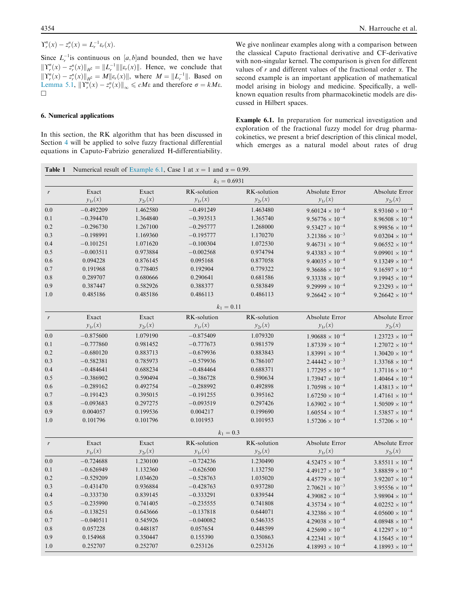Since  $L_r^{-1}$  is continuous on [a, b] and bounded, then we have  $||\Upsilon_r^n(x) - z_r^n(x)||_{H^2} = ||L_r^{-1}|| ||\varepsilon_r(x)||$ . Hence, we conclude that  $\|Y_r^n(x) - z_r^n(x)\|_{H^2} = M\|\varepsilon_r(x)\|$ , where  $M = \|L_r^{-1}\|$ . Based on Lemma 5.1,  $\|\Upsilon_r^n(x) - z_r^n(x)\|_{\infty} \le cM\varepsilon$  and therefore  $\sigma = kM\varepsilon$ .  $\Box$ 

# 6. Numerical applications

In this section, the RK algorithm that has been discussed in Section 4 will be applied to solve fuzzy fractional differential equations in Caputo-Fabrizio generalized H-differentiability.

We give nonlinear examples along with a comparison between the classical Caputo fractional derivative and CF-derivative with non-singular kernel. The comparison is given for different values of  $r$  and different values of the fractional order  $\alpha$ . The second example is an important application of mathematical model arising in biology and medicine. Specifically, a wellknown equation results from pharmacokinetic models are discussed in Hilbert spaces.

Example 6.1. In preparation for numerical investigation and exploration of the fractional fuzzy model for drug pharmacokinetics, we present a brief description of this clinical model, which emerges as a natural model about rates of drug

| Table 1          |             |             | Numerical result of Example 6.1, Case 1 at $x = 1$ and $\alpha = 0.99$ . |             |                          |                          |
|------------------|-------------|-------------|--------------------------------------------------------------------------|-------------|--------------------------|--------------------------|
|                  |             |             | $k_1 = 0.6931$                                                           |             |                          |                          |
| $\boldsymbol{r}$ | Exact       | Exact       | RK-solution                                                              | RK-solution | Absolute Error           | Absolute Error           |
|                  | $y_{1r}(x)$ | $y_{2r}(x)$ | $y_{1r}(x)$                                                              | $y_{2r}(x)$ | $y_{1r}(x)$              | $y_{2r}(x)$              |
| 0.0              | $-0.492209$ | 1.462580    | $-0.491249$                                                              | 1.463480    | $9.60124 \times 10^{-4}$ | $8.93160 \times 10^{-4}$ |
| $0.1\,$          | $-0.394470$ | 1.364840    | $-0.393513$                                                              | 1.365740    | $9.56776 \times 10^{-4}$ | $8.96508 \times 10^{-4}$ |
| 0.2              | $-0.296730$ | 1.267100    | $-0.295777$                                                              | 1.268000    | $9.53427 \times 10^{-4}$ | $8.99856 \times 10^{-4}$ |
| 0.3              | $-0.198991$ | 1.169360    | $-0.195777$                                                              | 1.170270    | $3.21386 \times 10^{-3}$ | $9.03204 \times 10^{-4}$ |
| 0.4              | $-0.101251$ | 1.071620    | $-0.100304$                                                              | 1.072530    | $9.46731 \times 10^{-4}$ | $9.06552 \times 10^{-4}$ |
| 0.5              | $-0.003511$ | 0.973884    | $-0.002568$                                                              | 0.974794    | $9.43383 \times 10^{-4}$ | $9.09901 \times 10^{-4}$ |
| 0.6              | 0.094228    | 0.876145    | 0.095168                                                                 | 0.877058    | $9.40035 \times 10^{-4}$ | $9.13249 \times 10^{-4}$ |
| 0.7              | 0.191968    | 0.778405    | 0.192904                                                                 | 0.779322    | $9.36686 \times 10^{-4}$ | $9.16597 \times 10^{-4}$ |
| 0.8              | 0.289707    | 0.680666    | 0.290641                                                                 | 0.681586    | $9.33338 \times 10^{-4}$ | $9.19945 \times 10^{-4}$ |
| 0.9              | 0.387447    | 0.582926    | 0.388377                                                                 | 0.583849    | $9.29999 \times 10^{-4}$ | $9.23293 \times 10^{-4}$ |
| 1.0              | 0.485186    | 0.485186    | 0.486113                                                                 | 0.486113    | $9.26642 \times 10^{-4}$ | $9.26642 \times 10^{-4}$ |
|                  |             |             | $k_1 = 0.11$                                                             |             |                          |                          |
| $\mathbf{r}$     | Exact       | Exact       | RK-solution                                                              | RK-solution | Absolute Error           | Absolute Error           |
|                  | $y_{1r}(x)$ | $y_{2r}(x)$ | $y_{1r}(x)$                                                              | $y_{2r}(x)$ | $y_{1r}(x)$              | $y_{2r}(x)$              |
| 0.0              | $-0.875600$ | 1.079190    | $-0.875409$                                                              | 1.079320    | $1.90688 \times 10^{-4}$ | $1.23723 \times 10^{-4}$ |
| 0.1              | $-0.777860$ | 0.981452    | $-0.777673$                                                              | 0.981579    | $1.87339 \times 10^{-4}$ | $1.27072 \times 10^{-4}$ |
| 0.2              | $-0.680120$ | 0.883713    | $-0.679936$                                                              | 0.883843    | $1.83991 \times 10^{-4}$ | $1.30420 \times 10^{-4}$ |
| 0.3              | $-0.582381$ | 0.785973    | $-0.579936$                                                              | 0.786107    | $2.44442 \times 10^{-3}$ | $1.33768 \times 10^{-4}$ |
| 0.4              | $-0.484641$ | 0.688234    | $-0.484464$                                                              | 0.688371    | $1.77295 \times 10^{-4}$ | $1.37116 \times 10^{-4}$ |
| 0.5              | $-0.386902$ | 0.590494    | $-0.386728$                                                              | 0.590634    | $1.73947 \times 10^{-4}$ | $1.40464 \times 10^{-4}$ |
| 0.6              | $-0.289162$ | 0.492754    | $-0.288992$                                                              | 0.492898    | $1.70598 \times 10^{-4}$ | $1.43813 \times 10^{-4}$ |
| 0.7              | $-0.191423$ | 0.395015    | $-0.191255$                                                              | 0.395162    | $1.67250 \times 10^{-4}$ | $1.47161 \times 10^{-4}$ |
| $0.8\,$          | $-0.093683$ | 0.297275    | $-0.093519$                                                              | 0.297426    | $1.63902 \times 10^{-4}$ | $1.50509 \times 10^{-4}$ |
| 0.9              | 0.004057    | 0.199536    | 0.004217                                                                 | 0.199690    | $1.60554 \times 10^{-4}$ | $1.53857 \times 10^{-4}$ |
| 1.0              | 0.101796    | 0.101796    | 0.101953                                                                 | 0.101953    | $1.57206 \times 10^{-4}$ | $1.57206 \times 10^{-4}$ |
|                  |             |             | $k_1 = 0.3$                                                              |             |                          |                          |
| $\boldsymbol{r}$ | Exact       | Exact       | RK-solution                                                              | RK-solution | Absolute Error           | Absolute Error           |
|                  | $y_{1r}(x)$ | $y_{2r}(x)$ | $y_{1r}(x)$                                                              | $y_{2r}(x)$ | $y_{1r}(x)$              | $y_{2r}(x)$              |
| $0.0\,$          | $-0.724688$ | 1.230100    | $-0.724236$                                                              | 1.230490    | $4.52475 \times 10^{-4}$ | $3.85511 \times 10^{-4}$ |
| 0.1              | $-0.626949$ | 1.132360    | $-0.626500$                                                              | 1.132750    | $4.49127 \times 10^{-4}$ | $3.88859 \times 10^{-4}$ |
| 0.2              | $-0.529209$ | 1.034620    | $-0.528763$                                                              | 1.035020    | $4.45779 \times 10^{-4}$ | $3.92207 \times 10^{-4}$ |
| 0.3              | $-0.431470$ | 0.936884    | $-0.428763$                                                              | 0.937280    | $2.70621 \times 10^{-3}$ | $3.95556 \times 10^{-4}$ |
| 0.4              | $-0.333730$ | 0.839145    | $-0.333291$                                                              | 0.839544    | $4.39082 \times 10^{-4}$ | $3.98904 \times 10^{-4}$ |
| 0.5              | $-0.235990$ | 0.741405    | $-0.235555$                                                              | 0.741808    | $4.35734 \times 10^{-4}$ | $4.02252 \times 10^{-4}$ |
| 0.6              | $-0.138251$ | 0.643666    | $-0.137818$                                                              | 0.644071    | $4.32386 \times 10^{-4}$ | $4.05600 \times 10^{-4}$ |
| 0.7              | $-0.040511$ | 0.545926    | $-0.040082$                                                              | 0.546335    | $4.29038 \times 10^{-4}$ | $4.08948 \times 10^{-4}$ |
| 0.8              | 0.057228    | 0.448187    | 0.057654                                                                 | 0.448599    | $4.25690 \times 10^{-4}$ | $4.12297 \times 10^{-4}$ |
| 0.9              | 0.154968    | 0.350447    | 0.155390                                                                 | 0.350863    | $4.22341 \times 10^{-4}$ | $4.15645 \times 10^{-4}$ |
| 1.0              | 0.252707    | 0.252707    | 0.253126                                                                 | 0.253126    | $4.18993 \times 10^{-4}$ | $4.18993 \times 10^{-4}$ |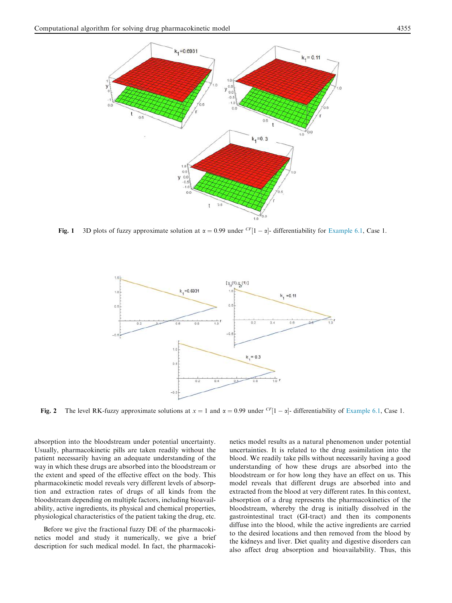

Fig. 1 3D plots of fuzzy approximate solution at  $\alpha = 0.99$  under  $\frac{CF}{1 - \alpha}$ - differentiability for Example 6.1, Case 1.



Fig. 2 The level RK-fuzzy approximate solutions at  $x = 1$  and  $\alpha = 0.99$  under  $\frac{CF}{1 - \alpha}$ - differentiability of Example 6.1, Case 1.

absorption into the bloodstream under potential uncertainty. Usually, pharmacokinetic pills are taken readily without the patient necessarily having an adequate understanding of the way in which these drugs are absorbed into the bloodstream or the extent and speed of the effective effect on the body. This pharmacokinetic model reveals very different levels of absorption and extraction rates of drugs of all kinds from the bloodstream depending on multiple factors, including bioavailability, active ingredients, its physical and chemical properties, physiological characteristics of the patient taking the drug, etc.

Before we give the fractional fuzzy DE of the pharmacokinetics model and study it numerically, we give a brief description for such medical model. In fact, the pharmacokinetics model results as a natural phenomenon under potential uncertainties. It is related to the drug assimilation into the blood. We readily take pills without necessarily having a good understanding of how these drugs are absorbed into the bloodstream or for how long they have an effect on us. This model reveals that different drugs are absorbed into and extracted from the blood at very different rates. In this context, absorption of a drug represents the pharmacokinetics of the bloodstream, whereby the drug is initially dissolved in the gastrointestinal tract (GI-tract) and then its components diffuse into the blood, while the active ingredients are carried to the desired locations and then removed from the blood by the kidneys and liver. Diet quality and digestive disorders can also affect drug absorption and bioavailability. Thus, this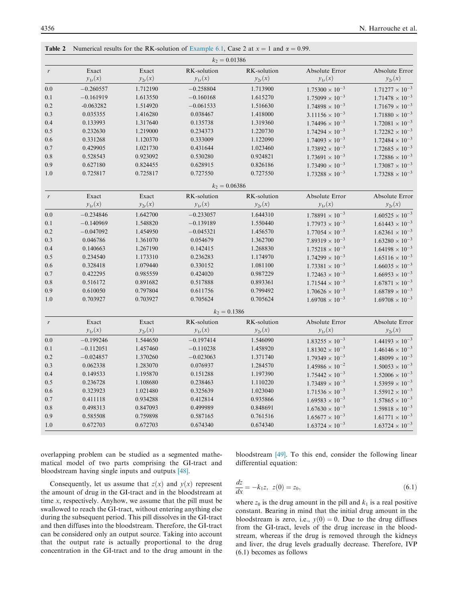| $k_2 = 0.01386$<br>RK-solution<br>Exact<br>Exact<br>RK-solution<br>Absolute Error<br>$\boldsymbol{r}$<br>$y_{1r}(x)$<br>$y_{2r}(x)$<br>$y_{1r}(x)$<br>$y_{2r}(x)$<br>$y_{1r}(x)$<br>0.0<br>$-0.260557$<br>1.712190<br>$-0.258804$<br>1.713900<br>$1.75300 \times 10^{-3}$<br>$-0.161919$<br>1.613550<br>$-0.160168$<br>1.615270<br>$1.75099 \times 10^{-3}$<br>0.1<br>$0.2\,$<br>$-0.063282$<br>1.514920<br>$-0.061533$<br>1.516630<br>$1.74898 \times 10^{-3}$<br>0.3<br>0.035355<br>1.416280<br>0.038467<br>1.418000<br>$3.11156 \times 10^{-3}$<br>0.4<br>0.133993<br>1.317640<br>0.135738<br>1.319360<br>$1.74496 \times 10^{-3}$<br>0.5<br>0.232630<br>1.219000<br>0.234373<br>1.220730<br>$1.74294 \times 10^{-3}$<br>0.6<br>0.331268<br>1.120370<br>0.333009<br>1.122090<br>$1.74093 \times 10^{-3}$<br>0.429905<br>0.7<br>1.021730<br>0.431644<br>1.023460<br>$1.73892 \times 10^{-3}$<br>0.8<br>0.528543<br>0.923092<br>0.530280<br>0.924821<br>$1.73691 \times 10^{-3}$<br>0.9<br>0.627180<br>0.628915<br>0.824455<br>0.826186<br>$1.73490 \times 10^{-3}$<br>1.0<br>0.725817<br>0.725817<br>0.727550<br>0.727550<br>$1.73288 \times 10^{-3}$<br>$k_2 = 0.06386$<br>RK-solution<br>Exact<br>Exact<br>RK-solution<br>Absolute Error<br>$\boldsymbol{r}$<br>$y_{1r}(x)$<br>$y_{2r}(x)$<br>$y_{1r}(x)$<br>$y_{2r}(x)$<br>$y_{1r}(x)$<br>1.642700<br>$1.78891 \times 10^{-3}$<br>0.0<br>$-0.234846$<br>$-0.233057$<br>1.644310<br>$-0.139189$<br>0.1<br>$-0.140969$<br>1.548820<br>1.550440<br>$1.77973 \times 10^{-3}$<br>0.2<br>$-0.047092$<br>$-0.045321$<br>1.456570<br>$1.77054 \times 10^{-3}$<br>1.454950<br>0.3<br>0.046786<br>0.054679<br>1.362700<br>1.361070<br>$7.89319 \times 10^{-3}$<br>0.4<br>0.140663<br>1.267190<br>1.268830<br>0.142415<br>$1.75218 \times 10^{-3}$<br>0.5<br>0.234540<br>1.173310<br>0.236283<br>1.174970<br>$1.74299 \times 10^{-3}$<br>$1.73381 \times 10^{-3}$<br>0.6<br>0.328418<br>1.079440<br>0.330152<br>1.081100<br>0.422295<br>0.7<br>0.985559<br>0.424020<br>0.987229<br>$1.72463 \times 10^{-3}$<br>0.8<br>0.516172<br>0.891682<br>0.517888<br>0.893361<br>$1.71544 \times 10^{-3}$<br>0.9<br>0.610050<br>0.797804<br>0.611756<br>0.799492<br>$1.70626 \times 10^{-3}$<br>1.0<br>0.703927<br>0.703927<br>0.705624<br>0.705624<br>$1.69708 \times 10^{-3}$ | Absolute Error<br>$y_{2r}(x)$ |
|----------------------------------------------------------------------------------------------------------------------------------------------------------------------------------------------------------------------------------------------------------------------------------------------------------------------------------------------------------------------------------------------------------------------------------------------------------------------------------------------------------------------------------------------------------------------------------------------------------------------------------------------------------------------------------------------------------------------------------------------------------------------------------------------------------------------------------------------------------------------------------------------------------------------------------------------------------------------------------------------------------------------------------------------------------------------------------------------------------------------------------------------------------------------------------------------------------------------------------------------------------------------------------------------------------------------------------------------------------------------------------------------------------------------------------------------------------------------------------------------------------------------------------------------------------------------------------------------------------------------------------------------------------------------------------------------------------------------------------------------------------------------------------------------------------------------------------------------------------------------------------------------------------------------------------------------------------------------------------------------------------------------------------------------------------------------------------------------------------------------------------------------------------------------------------------------------------------------------------------------------------------------------------------------------------------|-------------------------------|
|                                                                                                                                                                                                                                                                                                                                                                                                                                                                                                                                                                                                                                                                                                                                                                                                                                                                                                                                                                                                                                                                                                                                                                                                                                                                                                                                                                                                                                                                                                                                                                                                                                                                                                                                                                                                                                                                                                                                                                                                                                                                                                                                                                                                                                                                                                                |                               |
|                                                                                                                                                                                                                                                                                                                                                                                                                                                                                                                                                                                                                                                                                                                                                                                                                                                                                                                                                                                                                                                                                                                                                                                                                                                                                                                                                                                                                                                                                                                                                                                                                                                                                                                                                                                                                                                                                                                                                                                                                                                                                                                                                                                                                                                                                                                |                               |
|                                                                                                                                                                                                                                                                                                                                                                                                                                                                                                                                                                                                                                                                                                                                                                                                                                                                                                                                                                                                                                                                                                                                                                                                                                                                                                                                                                                                                                                                                                                                                                                                                                                                                                                                                                                                                                                                                                                                                                                                                                                                                                                                                                                                                                                                                                                | $1.71277 \times 10^{-3}$      |
|                                                                                                                                                                                                                                                                                                                                                                                                                                                                                                                                                                                                                                                                                                                                                                                                                                                                                                                                                                                                                                                                                                                                                                                                                                                                                                                                                                                                                                                                                                                                                                                                                                                                                                                                                                                                                                                                                                                                                                                                                                                                                                                                                                                                                                                                                                                | $1.71478 \times 10^{-3}$      |
|                                                                                                                                                                                                                                                                                                                                                                                                                                                                                                                                                                                                                                                                                                                                                                                                                                                                                                                                                                                                                                                                                                                                                                                                                                                                                                                                                                                                                                                                                                                                                                                                                                                                                                                                                                                                                                                                                                                                                                                                                                                                                                                                                                                                                                                                                                                | $1.71679 \times 10^{-3}$      |
|                                                                                                                                                                                                                                                                                                                                                                                                                                                                                                                                                                                                                                                                                                                                                                                                                                                                                                                                                                                                                                                                                                                                                                                                                                                                                                                                                                                                                                                                                                                                                                                                                                                                                                                                                                                                                                                                                                                                                                                                                                                                                                                                                                                                                                                                                                                | $1.71880 \times 10^{-3}$      |
|                                                                                                                                                                                                                                                                                                                                                                                                                                                                                                                                                                                                                                                                                                                                                                                                                                                                                                                                                                                                                                                                                                                                                                                                                                                                                                                                                                                                                                                                                                                                                                                                                                                                                                                                                                                                                                                                                                                                                                                                                                                                                                                                                                                                                                                                                                                | $1.72081 \times 10^{-3}$      |
|                                                                                                                                                                                                                                                                                                                                                                                                                                                                                                                                                                                                                                                                                                                                                                                                                                                                                                                                                                                                                                                                                                                                                                                                                                                                                                                                                                                                                                                                                                                                                                                                                                                                                                                                                                                                                                                                                                                                                                                                                                                                                                                                                                                                                                                                                                                | $1.72282 \times 10^{-3}$      |
|                                                                                                                                                                                                                                                                                                                                                                                                                                                                                                                                                                                                                                                                                                                                                                                                                                                                                                                                                                                                                                                                                                                                                                                                                                                                                                                                                                                                                                                                                                                                                                                                                                                                                                                                                                                                                                                                                                                                                                                                                                                                                                                                                                                                                                                                                                                | $1.72484 \times 10^{-3}$      |
|                                                                                                                                                                                                                                                                                                                                                                                                                                                                                                                                                                                                                                                                                                                                                                                                                                                                                                                                                                                                                                                                                                                                                                                                                                                                                                                                                                                                                                                                                                                                                                                                                                                                                                                                                                                                                                                                                                                                                                                                                                                                                                                                                                                                                                                                                                                | $1.72685 \times 10^{-3}$      |
|                                                                                                                                                                                                                                                                                                                                                                                                                                                                                                                                                                                                                                                                                                                                                                                                                                                                                                                                                                                                                                                                                                                                                                                                                                                                                                                                                                                                                                                                                                                                                                                                                                                                                                                                                                                                                                                                                                                                                                                                                                                                                                                                                                                                                                                                                                                | $1.72886 \times 10^{-3}$      |
|                                                                                                                                                                                                                                                                                                                                                                                                                                                                                                                                                                                                                                                                                                                                                                                                                                                                                                                                                                                                                                                                                                                                                                                                                                                                                                                                                                                                                                                                                                                                                                                                                                                                                                                                                                                                                                                                                                                                                                                                                                                                                                                                                                                                                                                                                                                | $1.73087 \times 10^{-3}$      |
|                                                                                                                                                                                                                                                                                                                                                                                                                                                                                                                                                                                                                                                                                                                                                                                                                                                                                                                                                                                                                                                                                                                                                                                                                                                                                                                                                                                                                                                                                                                                                                                                                                                                                                                                                                                                                                                                                                                                                                                                                                                                                                                                                                                                                                                                                                                | $1.73288 \times 10^{-3}$      |
|                                                                                                                                                                                                                                                                                                                                                                                                                                                                                                                                                                                                                                                                                                                                                                                                                                                                                                                                                                                                                                                                                                                                                                                                                                                                                                                                                                                                                                                                                                                                                                                                                                                                                                                                                                                                                                                                                                                                                                                                                                                                                                                                                                                                                                                                                                                |                               |
|                                                                                                                                                                                                                                                                                                                                                                                                                                                                                                                                                                                                                                                                                                                                                                                                                                                                                                                                                                                                                                                                                                                                                                                                                                                                                                                                                                                                                                                                                                                                                                                                                                                                                                                                                                                                                                                                                                                                                                                                                                                                                                                                                                                                                                                                                                                | Absolute Error                |
|                                                                                                                                                                                                                                                                                                                                                                                                                                                                                                                                                                                                                                                                                                                                                                                                                                                                                                                                                                                                                                                                                                                                                                                                                                                                                                                                                                                                                                                                                                                                                                                                                                                                                                                                                                                                                                                                                                                                                                                                                                                                                                                                                                                                                                                                                                                | $y_{2r}(x)$                   |
|                                                                                                                                                                                                                                                                                                                                                                                                                                                                                                                                                                                                                                                                                                                                                                                                                                                                                                                                                                                                                                                                                                                                                                                                                                                                                                                                                                                                                                                                                                                                                                                                                                                                                                                                                                                                                                                                                                                                                                                                                                                                                                                                                                                                                                                                                                                | $1.60525 \times 10^{-3}$      |
|                                                                                                                                                                                                                                                                                                                                                                                                                                                                                                                                                                                                                                                                                                                                                                                                                                                                                                                                                                                                                                                                                                                                                                                                                                                                                                                                                                                                                                                                                                                                                                                                                                                                                                                                                                                                                                                                                                                                                                                                                                                                                                                                                                                                                                                                                                                | $1.61443 \times 10^{-3}$      |
|                                                                                                                                                                                                                                                                                                                                                                                                                                                                                                                                                                                                                                                                                                                                                                                                                                                                                                                                                                                                                                                                                                                                                                                                                                                                                                                                                                                                                                                                                                                                                                                                                                                                                                                                                                                                                                                                                                                                                                                                                                                                                                                                                                                                                                                                                                                | $1.62361 \times 10^{-3}$      |
|                                                                                                                                                                                                                                                                                                                                                                                                                                                                                                                                                                                                                                                                                                                                                                                                                                                                                                                                                                                                                                                                                                                                                                                                                                                                                                                                                                                                                                                                                                                                                                                                                                                                                                                                                                                                                                                                                                                                                                                                                                                                                                                                                                                                                                                                                                                | $1.63280 \times 10^{-3}$      |
|                                                                                                                                                                                                                                                                                                                                                                                                                                                                                                                                                                                                                                                                                                                                                                                                                                                                                                                                                                                                                                                                                                                                                                                                                                                                                                                                                                                                                                                                                                                                                                                                                                                                                                                                                                                                                                                                                                                                                                                                                                                                                                                                                                                                                                                                                                                | $1.64198 \times 10^{-3}$      |
|                                                                                                                                                                                                                                                                                                                                                                                                                                                                                                                                                                                                                                                                                                                                                                                                                                                                                                                                                                                                                                                                                                                                                                                                                                                                                                                                                                                                                                                                                                                                                                                                                                                                                                                                                                                                                                                                                                                                                                                                                                                                                                                                                                                                                                                                                                                | $1.65116 \times 10^{-3}$      |
|                                                                                                                                                                                                                                                                                                                                                                                                                                                                                                                                                                                                                                                                                                                                                                                                                                                                                                                                                                                                                                                                                                                                                                                                                                                                                                                                                                                                                                                                                                                                                                                                                                                                                                                                                                                                                                                                                                                                                                                                                                                                                                                                                                                                                                                                                                                | $1.66035 \times 10^{-3}$      |
|                                                                                                                                                                                                                                                                                                                                                                                                                                                                                                                                                                                                                                                                                                                                                                                                                                                                                                                                                                                                                                                                                                                                                                                                                                                                                                                                                                                                                                                                                                                                                                                                                                                                                                                                                                                                                                                                                                                                                                                                                                                                                                                                                                                                                                                                                                                | $1.66953 \times 10^{-3}$      |
|                                                                                                                                                                                                                                                                                                                                                                                                                                                                                                                                                                                                                                                                                                                                                                                                                                                                                                                                                                                                                                                                                                                                                                                                                                                                                                                                                                                                                                                                                                                                                                                                                                                                                                                                                                                                                                                                                                                                                                                                                                                                                                                                                                                                                                                                                                                | $1.67871 \times 10^{-3}$      |
|                                                                                                                                                                                                                                                                                                                                                                                                                                                                                                                                                                                                                                                                                                                                                                                                                                                                                                                                                                                                                                                                                                                                                                                                                                                                                                                                                                                                                                                                                                                                                                                                                                                                                                                                                                                                                                                                                                                                                                                                                                                                                                                                                                                                                                                                                                                | $1.68789 \times 10^{-3}$      |
|                                                                                                                                                                                                                                                                                                                                                                                                                                                                                                                                                                                                                                                                                                                                                                                                                                                                                                                                                                                                                                                                                                                                                                                                                                                                                                                                                                                                                                                                                                                                                                                                                                                                                                                                                                                                                                                                                                                                                                                                                                                                                                                                                                                                                                                                                                                | $1.69708 \times 10^{-3}$      |
| $k_2 = 0.1386$                                                                                                                                                                                                                                                                                                                                                                                                                                                                                                                                                                                                                                                                                                                                                                                                                                                                                                                                                                                                                                                                                                                                                                                                                                                                                                                                                                                                                                                                                                                                                                                                                                                                                                                                                                                                                                                                                                                                                                                                                                                                                                                                                                                                                                                                                                 |                               |
| RK-solution<br>RK-solution<br>Exact<br>Exact<br>Absolute Error<br>$\boldsymbol{r}$                                                                                                                                                                                                                                                                                                                                                                                                                                                                                                                                                                                                                                                                                                                                                                                                                                                                                                                                                                                                                                                                                                                                                                                                                                                                                                                                                                                                                                                                                                                                                                                                                                                                                                                                                                                                                                                                                                                                                                                                                                                                                                                                                                                                                             | Absolute Error                |
| $y_{1r}(x)$<br>$y_{2r}(x)$<br>$y_{1r}(x)$<br>$y_{2r}(x)$<br>$y_{1r}(x)$                                                                                                                                                                                                                                                                                                                                                                                                                                                                                                                                                                                                                                                                                                                                                                                                                                                                                                                                                                                                                                                                                                                                                                                                                                                                                                                                                                                                                                                                                                                                                                                                                                                                                                                                                                                                                                                                                                                                                                                                                                                                                                                                                                                                                                        | $y_{2r}(x)$                   |
| 0.0<br>$-0.199246$<br>1.544650<br>$-0.197414$<br>1.546090<br>$1.83255 \times 10^{-3}$                                                                                                                                                                                                                                                                                                                                                                                                                                                                                                                                                                                                                                                                                                                                                                                                                                                                                                                                                                                                                                                                                                                                                                                                                                                                                                                                                                                                                                                                                                                                                                                                                                                                                                                                                                                                                                                                                                                                                                                                                                                                                                                                                                                                                          | $1.44193 \times 10^{-3}$      |
| $0.1\,$<br>$-0.112051$<br>1.457460<br>$-0.110238$<br>1.458920<br>$1.81302 \times 10^{-3}$                                                                                                                                                                                                                                                                                                                                                                                                                                                                                                                                                                                                                                                                                                                                                                                                                                                                                                                                                                                                                                                                                                                                                                                                                                                                                                                                                                                                                                                                                                                                                                                                                                                                                                                                                                                                                                                                                                                                                                                                                                                                                                                                                                                                                      | $1.46146 \times 10^{-3}$      |
| 0.2<br>$-0.024857$<br>1.370260<br>$-0.023063$<br>1.371740<br>$1.79349 \times 10^{-3}$                                                                                                                                                                                                                                                                                                                                                                                                                                                                                                                                                                                                                                                                                                                                                                                                                                                                                                                                                                                                                                                                                                                                                                                                                                                                                                                                                                                                                                                                                                                                                                                                                                                                                                                                                                                                                                                                                                                                                                                                                                                                                                                                                                                                                          | $1.48099 \times 10^{-3}$      |
| 0.3<br>0.062338<br>1.283070<br>1.284570<br>0.076937<br>$1.45986 \times 10^{-2}$                                                                                                                                                                                                                                                                                                                                                                                                                                                                                                                                                                                                                                                                                                                                                                                                                                                                                                                                                                                                                                                                                                                                                                                                                                                                                                                                                                                                                                                                                                                                                                                                                                                                                                                                                                                                                                                                                                                                                                                                                                                                                                                                                                                                                                | $1.50053 \times 10^{-3}$      |
| 0.4<br>0.149533<br>1.195870<br>0.151288<br>1.197390<br>$1.75442 \times 10^{-3}$                                                                                                                                                                                                                                                                                                                                                                                                                                                                                                                                                                                                                                                                                                                                                                                                                                                                                                                                                                                                                                                                                                                                                                                                                                                                                                                                                                                                                                                                                                                                                                                                                                                                                                                                                                                                                                                                                                                                                                                                                                                                                                                                                                                                                                | $1.52006 \times 10^{-3}$      |
| 0.5<br>0.236728<br>1.108680<br>0.238463<br>1.110220<br>$1.73489 \times 10^{-3}$                                                                                                                                                                                                                                                                                                                                                                                                                                                                                                                                                                                                                                                                                                                                                                                                                                                                                                                                                                                                                                                                                                                                                                                                                                                                                                                                                                                                                                                                                                                                                                                                                                                                                                                                                                                                                                                                                                                                                                                                                                                                                                                                                                                                                                | $1.53959 \times 10^{-3}$      |
| 0.6<br>0.323923<br>1.021480<br>0.325639<br>1.023040<br>$1.71536 \times 10^{-3}$                                                                                                                                                                                                                                                                                                                                                                                                                                                                                                                                                                                                                                                                                                                                                                                                                                                                                                                                                                                                                                                                                                                                                                                                                                                                                                                                                                                                                                                                                                                                                                                                                                                                                                                                                                                                                                                                                                                                                                                                                                                                                                                                                                                                                                | $1.55912 \times 10^{-3}$      |
| 0.7<br>0.411118<br>0.934288<br>0.412814<br>0.935866<br>$1.69583 \times 10^{-3}$                                                                                                                                                                                                                                                                                                                                                                                                                                                                                                                                                                                                                                                                                                                                                                                                                                                                                                                                                                                                                                                                                                                                                                                                                                                                                                                                                                                                                                                                                                                                                                                                                                                                                                                                                                                                                                                                                                                                                                                                                                                                                                                                                                                                                                | $1.57865 \times 10^{-3}$      |
| 0.8<br>0.498313<br>0.847093<br>0.499989<br>0.848691<br>$1.67630 \times 10^{-3}$                                                                                                                                                                                                                                                                                                                                                                                                                                                                                                                                                                                                                                                                                                                                                                                                                                                                                                                                                                                                                                                                                                                                                                                                                                                                                                                                                                                                                                                                                                                                                                                                                                                                                                                                                                                                                                                                                                                                                                                                                                                                                                                                                                                                                                | $1.59818 \times 10^{-3}$      |
| 0.9<br>0.585508<br>0.759898<br>0.587165<br>0.761516<br>$1.65677 \times 10^{-3}$                                                                                                                                                                                                                                                                                                                                                                                                                                                                                                                                                                                                                                                                                                                                                                                                                                                                                                                                                                                                                                                                                                                                                                                                                                                                                                                                                                                                                                                                                                                                                                                                                                                                                                                                                                                                                                                                                                                                                                                                                                                                                                                                                                                                                                | $1.61771 \times 10^{-3}$      |
| 1.0<br>0.672703<br>0.672703<br>$1.63724 \times 10^{-3}$<br>0.674340<br>0.674340                                                                                                                                                                                                                                                                                                                                                                                                                                                                                                                                                                                                                                                                                                                                                                                                                                                                                                                                                                                                                                                                                                                                                                                                                                                                                                                                                                                                                                                                                                                                                                                                                                                                                                                                                                                                                                                                                                                                                                                                                                                                                                                                                                                                                                | $1.63724 \times 10^{-3}$      |

overlapping problem can be studied as a segmented mathematical model of two parts comprising the GI-tract and bloodstream having single inputs and outputs [48].

Consequently, let us assume that  $z(x)$  and  $y(x)$  represent the amount of drug in the GI-tract and in the bloodstream at time *x*, respectively. Anyhow, we assume that the pill must be swallowed to reach the GI-tract, without entering anything else during the subsequent period. This pill dissolves in the GI-tract and then diffuses into the bloodstream. Therefore, the GI-tract can be considered only an output source. Taking into account that the output rate is actually proportional to the drug concentration in the GI-tract and to the drug amount in the bloodstream [49]. To this end, consider the following linear differential equation:

$$
\frac{dz}{dx} = -k_1 z, \ z(0) = z_0,
$$
\n(6.1)

where  $z_0$  is the drug amount in the pill and  $k_1$  is a real positive constant. Bearing in mind that the initial drug amount in the bloodstream is zero, i.e.,  $y(0) = 0$ . Due to the drug diffuses from the GI-tract, levels of the drug increase in the bloodstream, whereas if the drug is removed through the kidneys and liver, the drug levels gradually decrease. Therefore, IVP (6.1) becomes as follows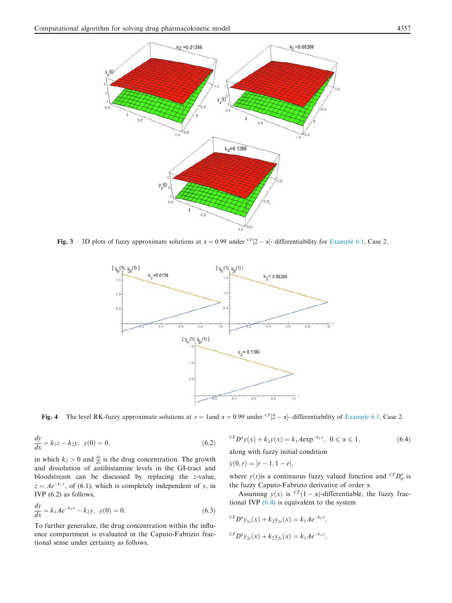

Fig. 3 3D plots of fuzzy approximate solutions at  $\alpha = 0.99$  under  $\frac{CF}{2} - \alpha$ - differentiability for Example 6.1, Case 2.



Fig. 4 The level RK-fuzzy approximate solutions at  $x = 1$ and  $\alpha = 0.99$  under  $\frac{CF}{2} - \alpha$ - differentiability of Example 6.1, Case 2.

$$
\frac{dy}{dx} = k_1 z - k_2 y, \ y(0) = 0,
$$
\n(6.2)

in which  $k_2 > 0$  and  $\frac{dy}{dx}$  is the drug concentration. The growth and dissolution of antihistamine levels in the GI-tract and bloodstream can be discussed by replacing the *z*-value,  $z = Ae^{-k_1x}$ , of (6.1), which is completely independent of *y*, in IVP (6.2) as follows,

$$
\frac{dy}{dx} = k_1 A e^{-k_1 x} - k_2 y, \ \ y(0) = 0.
$$
\n(6.3)

To further generalize, the drug concentration within the influence compartment is evaluated in the Caputo-Fabrizio fractional sense under certainty as follows,

$$
{}^{CF}D^{\alpha}y(x) + k_2y(x) = k_1 A \exp^{-k_1 x}, \ \ 0 \le \alpha \le 1,
$$
\n(6.4)

along with fuzzy initial condition

$$
y(0,r) = [r-1, 1-r],
$$

where  $y(t)$  is a continuous fuzzy valued function and <sup>CF</sup>*D*<sup> $\alpha$ </sup><sup> $\alpha$ </sup><sup> $\alpha$ </sup><sup> $\alpha$ </sup><sup> $\beta$ </sup><sup> $\alpha$ </sup><sup> $\alpha$ </sup><sup> $\beta$ </sup><sup> $\alpha$ </sup><sup> $\beta$ </sup><sup> $\alpha$ </sup><sup> $\beta$ </sup><sup> $\alpha$ </sup><sup> $\beta$ </sup><sup> $\alpha$ </sup><sup> $\beta$ </sup><sup> $\alpha$ </sup><sup> $\beta$ </sup><sup> $\alpha$ </sup><sup> $\beta$ </sup><sup> $\alpha$ </sup><sup> $\beta$ </sup><sup> $\alpha$ </sup><sup> $\beta$ </sup> $\alpha$ <sup> $\beta$ </sup> $\alpha$ <sup> $$ the fuzzy Caputo-Fabrizio derivative of order a.

Assuming  $y(x)$  is  $CF(1 - \alpha)$ -differentiable, the fuzzy fractional IVP  $(6.4)$  is equivalent to the system

$$
{}^{CF}D^{\alpha}y_{1r}(x) + k_2y_{1r}(x) = k_1Ae^{-k_1x},
$$
  

$$
{}^{CF}D^{\alpha}y_{2r}(x) + k_2y_{2r}(x) = k_1Ae^{-k_1x},
$$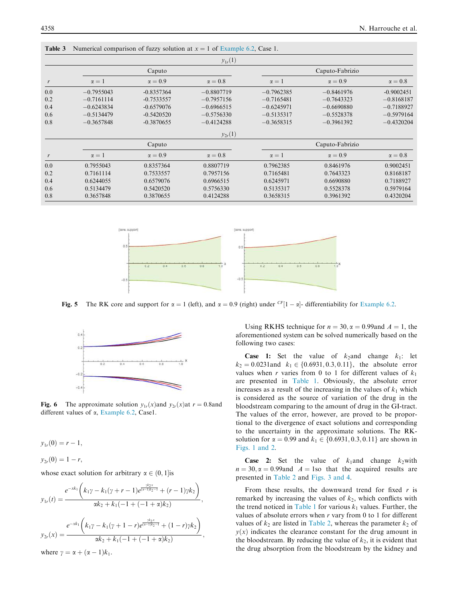|     |              |                | $y_{1r}(1)$    |                 |                 |                |  |
|-----|--------------|----------------|----------------|-----------------|-----------------|----------------|--|
|     | Caputo       |                |                | Caputo-Fabrizio |                 |                |  |
| r   | $\alpha = 1$ | $\alpha = 0.9$ | $\alpha = 0.8$ | $\alpha = 1$    | $\alpha = 0.9$  | $\alpha = 0.8$ |  |
| 0.0 | $-0.7955043$ | $-0.8357364$   | $-0.8807719$   | $-0.7962385$    | $-0.8461976$    | $-0.9002451$   |  |
| 0.2 | $-0.7161114$ | $-0.7533557$   | $-0.7957156$   | $-0.7165481$    | $-0.7643323$    | $-0.8168187$   |  |
| 0.4 | $-0.6243834$ | $-0.6579076$   | $-0.6966515$   | $-0.6245971$    | $-0.6690880$    | $-0.7188927$   |  |
| 0.6 | $-0.5134479$ | $-0.5420520$   | $-0.5756330$   | $-0.5135317$    | $-0.5528378$    | $-0.5979164$   |  |
| 0.8 | $-0.3657848$ | $-0.3870655$   | $-0.4124288$   | $-0.3658315$    | $-0.3961392$    | $-0.4320204$   |  |
|     |              |                | $y_{2r}(1)$    |                 |                 |                |  |
|     |              | Caputo         |                |                 | Caputo-Fabrizio |                |  |
| r   | $\alpha = 1$ | $\alpha = 0.9$ | $\alpha = 0.8$ | $\alpha = 1$    | $\alpha = 0.9$  | $\alpha = 0.8$ |  |
| 0.0 | 0.7955043    | 0.8357364      | 0.8807719      | 0.7962385       | 0.8461976       | 0.9002451      |  |
| 0.2 | 0.7161114    | 0.7533557      | 0.7957156      | 0.7165481       | 0.7643323       | 0.8168187      |  |
| 0.4 | 0.6244055    | 0.6579076      | 0.6966515      | 0.6245971       | 0.6690880       | 0.7188927      |  |
| 0.6 | 0.5134479    | 0.5420520      | 0.5756330      | 0.5135317       | 0.5528378       | 0.5979164      |  |
| 0.8 | 0.3657848    | 0.3870655      | 0.4124288      | 0.3658315       | 0.3961392       | 0.4320204      |  |



Fig. 5 The RK core and support for  $\alpha = 1$  (left), and  $\alpha = 0.9$  (right) under <sup>CF</sup>[1 -  $\alpha$ ]- differentiability for Example 6.2.



**Fig. 6** The approximate solution  $y_{1r}(x)$  and  $y_{2r}(x)$  at  $r = 0.8$  and different values of  $\alpha$ , Example 6.2, Case1.

$$
y_{1r}(0)=r-1,
$$

 $y_{2r}(0) = 1 - r$ 

whose exact solution for arbitrary  $\alpha \in (0,1]$  is

$$
y_{1r}(t) = \frac{e^{-xk_1}\left(k_1\gamma - k_1(\gamma + r - 1)e^{\frac{\gamma k_2 x}{(\alpha - 1)k_2 - 1}} + (r - 1)\gamma k_2\right)}{\alpha k_2 + k_1(-1 + (-1 + \alpha)k_2)},
$$
  

$$
y_{2r}(x) = \frac{e^{-xk_1}\left(k_1\gamma - k_1(\gamma + 1 - r)e^{\frac{\gamma k_2 x}{(\alpha - 1)k_2 - 1}} + (1 - r)\gamma k_2\right)}{\alpha k_2 + k_1(-1 + (-1 + \alpha)k_2)},
$$
  
where  $\gamma = \alpha + (\alpha - 1)k_1$ .

Using RKHS technique for  $n = 30$ ,  $\alpha = 0.99$  and  $A = 1$ , the aforementioned system can be solved numerically based on the following two cases:

**Case 1:** Set the value of  $k_2$ and change  $k_1$ : let  $k_2 = 0.0231$ and  $k_1 \in \{0.6931, 0.3, 0.11\}$ , the absolute error values when *r* varies from 0 to 1 for different values of  $k_1$ are presented in Table 1. Obviously, the absolute error increases as a result of the increasing in the values of  $k_1$  which is considered as the source of variation of the drug in the bloodstream comparing to the amount of drug in the GI-tract. The values of the error, however, are proved to be proportional to the divergence of exact solutions and corresponding to the uncertainty in the approximate solutions. The RKsolution for  $\alpha = 0.99$  and  $k_1 \in \{0.6931, 0.3, 0.11\}$  are shown in Figs. 1 and 2.

**Case 2:** Set the value of  $k_1$ and change  $k_2$  with  $n = 30, \alpha = 0.99$ and  $A = 1$ so that the acquired results are presented in Table 2 and Figs. 3 and 4.

From these results, the downward trend for fixed *r* is remarked by increasing the values of  $k_2$ , which conflicts with the trend noticed in Table 1 for various  $k_1$  values. Further, the values of absolute errors when *r* vary from 0 to 1 for different values of  $k_2$  are listed in Table 2, whereas the parameter  $k_2$  of  $y(x)$  indicates the clearance constant for the drug amount in the bloodstream. By reducing the value of  $k_2$ , it is evident that the drug absorption from the bloodstream by the kidney and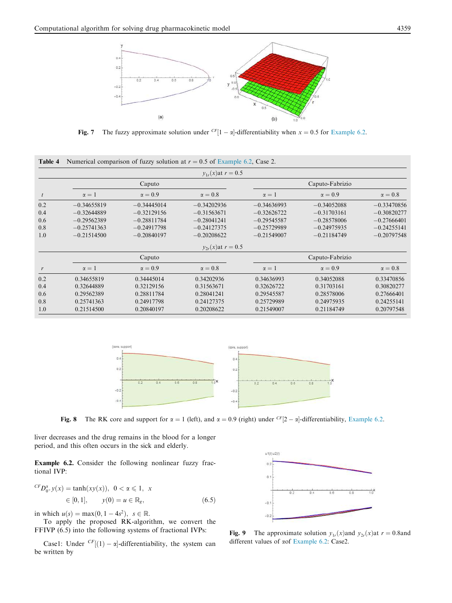

Fig. 7 The fuzzy approximate solution under  $\frac{CF}{1 - \alpha}$ -differentiability when  $x = 0.5$  for Example 6.2.

|     |               |                | $v_{1r}(x)$ at $r = 0.5$ |                 |                 |                |
|-----|---------------|----------------|--------------------------|-----------------|-----------------|----------------|
|     | Caputo        |                |                          | Caputo-Fabrizio |                 |                |
| t   | $\alpha = 1$  | $\alpha = 0.9$ | $\alpha = 0.8$           | $\alpha = 1$    | $\alpha = 0.9$  | $\alpha = 0.8$ |
| 0.2 | $-0.34655819$ | $-0.34445014$  | $-0.34202936$            | $-0.34636993$   | $-0.34052088$   | $-0.33470856$  |
| 0.4 | $-0.32644889$ | $-0.32129156$  | $-0.31563671$            | $-0.32626722$   | $-0.31703161$   | $-0.30820277$  |
| 0.6 | $-0.29562389$ | $-0.28811784$  | $-0.28041241$            | $-0.29545587$   | $-0.28578006$   | $-0.27666401$  |
| 0.8 | $-0.25741363$ | $-0.24917798$  | $-0.24127375$            | $-0.25729989$   | $-0.24975935$   | $-0.24255141$  |
| 1.0 | $-0.21514500$ | $-0.20840197$  | $-0.20208622$            | $-0.21549007$   | $-0.21184749$   | $-0.20797548$  |
|     |               |                | $y_{2r}(x)$ at $r = 0.5$ |                 |                 |                |
|     |               | Caputo         |                          |                 | Caputo-Fabrizio |                |
| r   | $\alpha = 1$  | $\alpha = 0.9$ | $\alpha = 0.8$           | $\alpha = 1$    | $\alpha = 0.9$  | $\alpha = 0.8$ |
| 0.2 | 0.34655819    | 0.34445014     | 0.34202936               | 0.34636993      | 0.34052088      | 0.33470856     |
| 0.4 | 0.32644889    | 0.32129156     | 0.31563671               | 0.32626722      | 0.31703161      | 0.30820277     |
| 0.6 | 0.29562389    | 0.28811784     | 0.28041241               | 0.29545587      | 0.28578006      | 0.27666401     |
| 0.8 | 0.25741363    | 0.24917798     | 0.24127375               | 0.25729989      | 0.24975935      | 0.24255141     |
| 1.0 | 0.21514500    | 0.20840197     | 0.20208622               | 0.21549007      | 0.21184749      | 0.20797548     |

**Table 4** Numerical comparison of fuzzy solution at 
$$
r = 0.5
$$
 of Example 6.2, Case 2.



Fig. 8 The RK core and support for  $\alpha = 1$  (left), and  $\alpha = 0.9$  (right) under <sup>CF</sup>[2 -  $\alpha$ ]-differentiability, Example 6.2.

liver decreases and the drug remains in the blood for a longer period, and this often occurs in the sick and elderly.

Example 6.2. Consider the following nonlinear fuzzy fractional IVP:

$$
{}^{CF}D_{0^+}^{\alpha}y(x) = \tanh(xy(x)), \ 0 < \alpha \leq 1, \ x
$$
\n
$$
\in [0, 1], \qquad y(0) = u \in \mathbb{R}_g,\tag{6.5}
$$

in which  $u(s) = \max(0, 1 - 4s^2), s \in \mathbb{R}$ .

To apply the proposed RK-algorithm, we convert the FFIVP (6.5) into the following systems of fractional IVPs:

Case1: Under  $\frac{CF}{(1)} - \alpha$ -differentiability, the system can be written by



**Fig. 9** The approximate solution  $y_{1r}(x)$  and  $y_{2r}(x)$  at  $r = 0.8$  and different values of aof Example 6.2: Case2.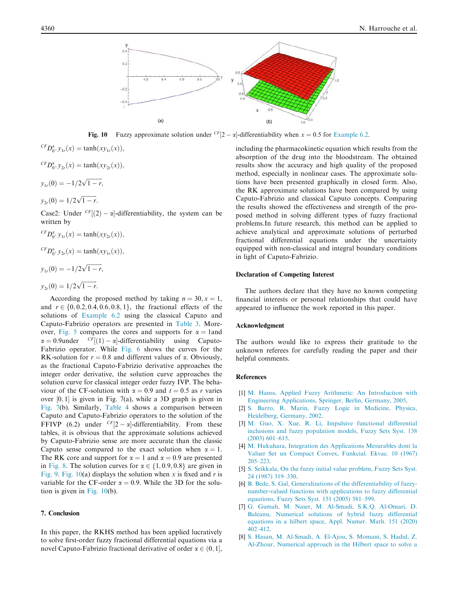

Fig. 10 Fuzzy approximate solution under  ${}^{CF}[2 - \alpha]$ -differentiability when  $x = 0.5$  for Example 6.2.

$$
{}^{CF}D_{0^+}^x y_{1r}(x) = \tanh(xy_{1r}(x)),
$$
  
\n
$$
{}^{CF}D_{0^+}^x y_{2r}(x) = \tanh(xy_{2r}(x)),
$$
  
\n
$$
y_{1r}(0) = -1/2\sqrt{1-r},
$$
  
\n
$$
y_{2r}(0) = 1/2\sqrt{1-r}.
$$

Case2: Under  $\frac{CF}{2}$  -  $\alpha$ -differentiability, the system can be written by

$$
{}^{CF}D_{0^+}^{\alpha}y_{1r}(x) = \tanh(xy_{2r}(x)),
$$

$$
{}^{CF}D_{0^+}^{\alpha}y_{2r}(x) = \tanh(xy_{1r}(x)),
$$

$$
y_{1r}(0) = -1/2\sqrt{1-r},
$$

$$
y_{2r}(0) = 1/2\sqrt{1-r}.
$$

According the proposed method by taking  $n = 30, x = 1$ , and  $r \in \{0, 0.2, 0.4, 0.6, 0.8, 1\}$ , the fractional effects of the solutions of Example 6.2 using the classical Caputo and Caputo-Fabrizio operators are presented in Table 3. Moreover, Fig. 5 compares the cores and supports for  $\alpha = 1$ and  $\alpha = 0.9$ under  $\frac{CF}{1}$ (1) –  $\alpha$ -differentiability using Caputo-Fabrizio operator. While Fig. 6 shows the curves for the RK-solution for  $r = 0.8$  and different values of  $\alpha$ . Obviously, as the fractional Caputo-Fabrizio derivative approaches the integer order derivative, the solution curve approaches the solution curve for classical integer order fuzzy IVP. The behaviour of the CF-solution with  $\alpha = 0.9$  and  $t = 0.5$  as *r* varies over  $[0, 1]$  is given in Fig. 7(a), while a 3D graph is given in Fig. 7(b). Similarly, Table 4 shows a comparison between Caputo and Caputo-Fabrizio operators to the solution of the FFIVP (6.2) under  $\frac{CF}{2} - \alpha$ -differentiability. From these tables, it is obvious that the approximate solutions achieved by Caputo-Fabrizio sense are more accurate than the classic Caputo sense compared to the exact solution when  $\alpha = 1$ . The RK core and support for  $\alpha = 1$  and  $\alpha = 0.9$  are presented in Fig. 8. The solution curves for  $\alpha \in \{1, 0.9, 0.8\}$  are given in Fig. 9. Fig. 10(a) displays the solution when *x* is fixed and *r* is variable for the CF-order  $\alpha = 0.9$ . While the 3D for the solution is given in Fig. 10(b).

# 7. Conclusion

In this paper, the RKHS method has been applied lucratively to solve first-order fuzzy fractional differential equations via a novel Caputo-Fabrizio fractional derivative of order  $\alpha \in (0, 1]$ ,

including the pharmacokinetic equation which results from the absorption of the drug into the bloodstream. The obtained results show the accuracy and high quality of the proposed method, especially in nonlinear cases. The approximate solutions have been presented graphically in closed form. Also, the RK approximate solutions have been compared by using Caputo-Fabrizio and classical Caputo concepts. Comparing the results showed the effectiveness and strength of the proposed method in solving different types of fuzzy fractional problems.In future research, this method can be applied to achieve analytical and approximate solutions of perturbed fractional differential equations under the uncertainty equipped with non-classical and integral boundary conditions in light of Caputo-Fabrizio.

# Declaration of Competing Interest

The authors declare that they have no known competing financial interests or personal relationships that could have appeared to influence the work reported in this paper.

# Acknowledgment

The authors would like to express their gratitude to the unknown referees for carefully reading the paper and their helpful comments.

### References

- [1] M. Hanss, Applied Fuzzy Arithmetic: An Introduction with Engineering Applications, Springer, Berlin, Germany, 2005.
- [2] S. Barro, R. Marin, Fuzzy Logic in Medicine, Physica, Heidelberg, Germany, 2002.
- [3] M. Guo, X. Xue, R. Li, Impulsive functional differential inclusions and fuzzy population models, Fuzzy Sets Syst. 138 (2003) 601–615.
- [4] M. Hukuhara, Integration des Applications Mesurables dont la Valuer Set un Compact Convex, Funkcial. Ekvac. 10 (1967) 205–223.
- [5] S. Seikkala, On the fuzzy initial value problem, Fuzzy Sets Syst. 24 (1987) 319–330.
- [6] B. Bede, S. Gal, Generalizations of the differentiability of fuzzynumber-valued functions with applications to fuzzy differential equations, Fuzzy Sets Syst. 151 (2005) 581–599.
- [7] G. Gumah, M. Naser, M. Al-Smadi, S.K.Q. Al-Omari, D. Baleanu, Numerical solutions of hybrid fuzzy differential equations in a hilbert space, Appl. Numer. Math. 151 (2020)  $402 - 412$
- [8] S. Hasan, M. Al-Smadi, A. El-Ajou, S. Momani, S. Hadid, Z. Al-Zhour, Numerical approach in the Hilbert space to solve a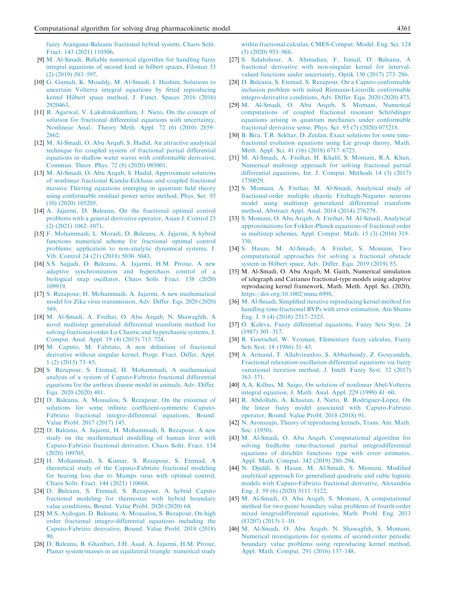fuzzy Atangana-Baleanu fractional hybrid system, Chaos Solit. Fract. 143 (2021) 110506.

- [9] M. Al-Smadi, Reliable numerical algorithm for handling fuzzy integral equations of second kind in hilbert spaces, Filomat 33 (2) (2019) 583–597.
- [10] G. Gumah, K. Moaddy, M. Al-Smadi, I. Hashim, Solutions to uncertain Volterra integral equations by fitted reproducing kernel Hilbert space method, J. Funct. Spaces 2016 (2016) 2920463.
- [11] R. Agarwal, V. Lakshmikantham, J. Nieto, On the concept of solution for fractional differential equations with uncertainty, Nonlinear Anal.: Theory Meth. Appl. 72 (6) (2010) 2859– 2862.
- [12] M. Al-Smadi, O. Abu Arqub, S. Hadid, An attractive analytical technique for coupled system of fractional partial differential equations in shallow water waves with conformable derivative, Commun. Theor. Phys. 72 (8) (2020) 085001.
- [13] M. Al-Smadi, O. Abu Arqub, S. Hadid, Approximate solutions of nonlinear fractional Kundu-Eckhaus and coupled fractional massive Thirring equations emerging in quantum field theory using conformable residual power series method, Phys. Scr. 95 (10) (2020) 105205.
- [14] A. Jajarmi, D. Baleanu, On the fractional optimal control problems with a general derivative operator, Asian J. Control 23 (2) (2021) 1062–1071.
- [15] F. Mohammadi, L. Moradi, D. Baleanu, A. Jajarmi, A hybrid functions numerical scheme for fractional optimal control problems: application to non-analytic dynamical systems, J. Vib. Control 24 (21) (2018) 5030–5043.
- [16] S.S. Sajjadi, D. Baleanu, A. Jajarmi, H.M. Pirouz, A new adaptive synchronization and hyperchaos control of a biological snap oscillator, Chaos Solit. Fract. 138 (2020) 109919.
- [17] S. Rezapour, H. Mohammadi, A. Jajarmi, A new mathematical model for Zika virus transmission, Adv. Differ. Eqs. 2020 (2020) 589.
- [18] M. Al-Smadi, A. Freihat, O. Abu Arqub, N. Shawagfeh, A novel multistep generalized differential transform method for solving fractional-order Lu Chaotic and hyperchaotic systems, J. Comput. Anal. Appl. 19 (4) (2015) 713–724.
- [19] M. Caputo, M. Fabrizio, A new definition of fractional derivative without singular kernel, Progr. Fract. Differ. Appl. 1 (2) (2015) 73–85.
- [20] S. Rezapour, S. Etemad, H. Mohammadi, A mathematical analysis of a system of Caputo-Fabrizio fractional differential equations for the anthrax disease model in animals, Adv. Differ. Equ. 2020 (2020) 481.
- [21] D. Baleanu, A. Mousalou, S. Rezapour, On the existence of solutions for some infinite coefficient-symmetric Caputo-Fabrizio fractional integro-differential equations, Bound. Value Probl. 2017 (2017) 145.
- [22] D. Baleanu, A. Jajarmi, H. Mohammadi, S. Rezapour, A new study on the mathematical modelling of human liver with Caputo-Fabrizio fractional derivative, Chaos Solit. Fract. 134 (2020) 109705.
- [23] H. Mohammadi, S. Kumar, S. Rezapour, S. Etemad, A theoretical study of the Caputo-Fabrizio fractional modeling for hearing loss due to Mumps virus with optimal control, Chaos Solit. Fract. 144 (2021) 110668.
- [24] D. Baleanu, S. Etemad, S. Rezapour, A hybrid Caputo fractional modeling for thermostat with hybrid boundary value conditions, Bound. Value Probl. 2020 (2020) 64.
- [25] M.S. Aydogan, D. Baleanu, A. Mousalou, S. Rezapour, On high order fractional integro-differential equations including the Caputo-Fabrizio derivative, Bound. Value Probl. 2018 (2018) 90.
- [26] D. Baleanu, B. Ghanbari, J.H. Asad, A. Jajarmi, H.M. Pirouz, Planar system-masses in an equilateral triangle: numerical study

within fractional calculus, CMES-Comput. Model. Eng. Sci. 124 (3) (2020) 953–968.

- [27] S. Salahshour, A. Ahmadian, F. Ismail, D. Baleanu, A fractional derivative with non-singular kernel for intervalvalued functions under uncertainty, Optik 130 (2017) 273–286.
- [28] D. Baleanu, S. Etemad, S. Rezapour, On a Caputo conformable inclusion problem with mixed Riemann-Liouville conformable integro-derivative conditions, Adv. Differ. Equ. 2020 (2020) 473.
- [29] M. Al-Smadi, O. Abu Arqub, S. Momani, Numerical computations of coupled fractional resonant Schrödinger equations arising in quantum mechanics under conformable fractional derivative sense, Phys. Scr. 95 (7) (2020) 075218.
- [30] B. Bira, T.R. Sekhar, D. Zeidan, Exact solutions for some timefractional evolution equations using Lie group theory, Math. Meth. Appl. Sci. 41 (16) (2018) 6717–6725.
- [31] M. Al-Smadi, A. Freihat, H. Khalil, S. Momani, R.A. Khan, Numerical multistep approach for solving fractional partial differential equations, Int. J. Comput. Methods 14 (3) (2017) 1750029.
- [32] S. Momani, A. Freihat, M. Al-Smadi, Analytical study of fractional-order multiple chaotic Fitzhugh-Nagumo neurons model using multistep generalized differential transform method, Abstract Appl. Anal. 2014 (2014) 276279.
- [33] S. Momani, O. Abu Arqub, A. Freihat, M. Al-Smadi, Analytical approximations for Fokker-Planck equations of fractional order in multistep schemes, Appl. Comput. Math. 15 (3) (2016) 319– 330.
- [34] S. Hasan, M. Al-Smadi, A. Freihet, S. Momani, Two computational approaches for solving a fractional obstacle system in Hilbert space, Adv. Differ. Equ. 2019 (2019) 55.
- [35] M. Al-Smadi, O. Abu Arqub, M. Gaith, Numerical simulation of telegraph and Cattaneo fractional-type models using adaptive reproducing kernel framework, Math. Meth. Appl. Sci. (2020), https://doi.org/10.1002/mma.6998.
- [36] M. Al-Smadi, Simplified iterative reproducing kernel method for handling time-fractional BVPs with error estimation, Ain Shams Eng. J. 9 (4) (2018) 2517–2525.
- [37] O. Kaleva, Fuzzy differential equations, Fuzzy Sets Syst. 24 (1987) 301–317.
- [38] R. Goetschel, W. Voxman, Elementary fuzzy calculus, Fuzzy Sets Syst. 18 (1986) 31–43.
- [39] A. Armand, T. Allahviranloo, S. Abbasbandy, Z. Gouyandeh, Fractional relaxation-oscillation differential equations via fuzzy variational iteration method, J. Intell. Fuzzy Syst. 32 (2017) 363–371.
- [40] A.A. Kilbas, M. Saigo, On solution of nonlinear Abel-Volterra integral equation, J. Math. Anal. Appl. 229 (1999) 41–60.
- [41] R. Abdollahi, A. Khastan, J. Nieto, R. Rodríguez-López, On the linear fuzzy model associated with Caputo-Fabrizio operator, Bound. Value Probl. 2018 (2018) 91.
- [42] N. Aronszajn, Theory of reproducing kernels, Trans. Am. Math. Soc. (1950).
- [43] M. Al-Smadi, O. Abu Arqub, Computational algorithm for solving fredholm time-fractional partial integrodifferential equations of dirichlet functions type with error estimates, Appl. Math. Comput. 342 (2019) 280–294.
- [44] N. Djeddi, S. Hasan, M. Al-Smadi, S. Momani, Modified analytical approach for generalized quadratic and cubic logistic models with Caputo-Fabrizio fractional derivative, Alexandria Eng. J. 59 (6) (2020) 5111–5122.
- [45] M. Al-Smadi, O. Abu Arqub, S. Momani, A computational method for two-point boundary value problems of fourth-order mixed integrodifferential equations, Math. Probl. Eng. 2013 (83207) (2013) 1–10.
- [46] M. Al-Smadi, O. Abu Arqub, N. Shawagfeh, S. Momani, Numerical investigations for systems of second-order periodic boundary value problems using reproducing kernel method, Appl. Math. Comput. 291 (2016) 137–148.